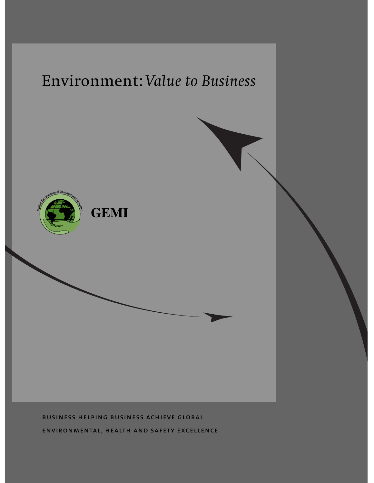

business helping business achieve global environmental, health and safety excellence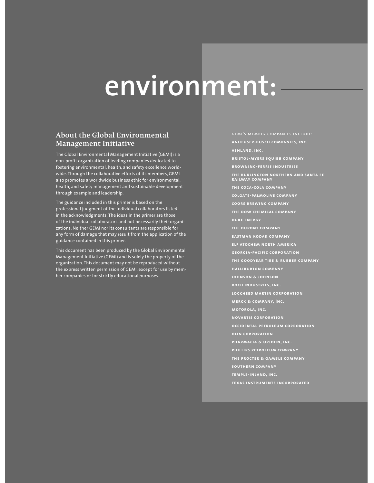# **environment:**

# **About the Global Environmental Management Initiative**

The Global Environmental Management Initiative (GEMI) is a non-profit organization of leading companies dedicated to fostering environmental, health, and safety excellence worldwide. Through the collaborative efforts of its members, GEMI also promotes a worldwide business ethic for environmental, health, and safety management and sustainable development through example and leadership.

The guidance included in this primer is based on the professional judgment of the individual collaborators listed in the acknowledgments. The ideas in the primer are those of the individual collaborators and not necessarily their organizations. Neither GEMI nor its consultants are responsible for any form of damage that may result from the application of the guidance contained in this primer.

This document has been produced by the Global Environmental Management Initiative (GEMI) and is solely the property of the organization. This document may not be reproduced without the express written permission of GEMI, except for use by member companies or for strictly educational purposes.

**anheuser-busch companies, inc. ashland, inc.bristol-myers squibb company browning-ferris industriesthe burlington northern and santa fe railway company the coca-cola company colgate-palmolive company coors brewing company the dow chemical company duke energy the dupont company eastman kodak company elf atochem north america georgia-pacific corporation the goodyear tire & rubber company halliburton company johnson & johnson koch industries, inc. lockheed martin corporation merck & company, Inc. motorola, inc. novartis corporation occidental petroleum corporation olin corporation pharmacia & upjohn, inc. phillips petroleum company the procter & gamble company southern company temple-inland, inc. texas instruments incorporated**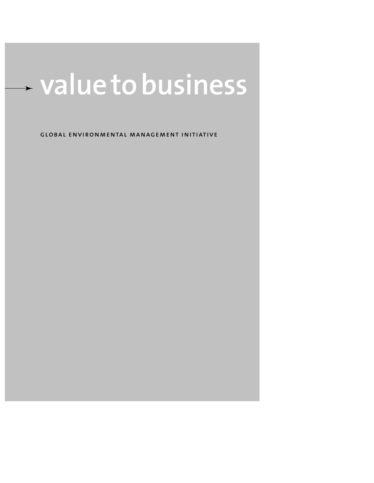# **value to business**

global environmental management initiative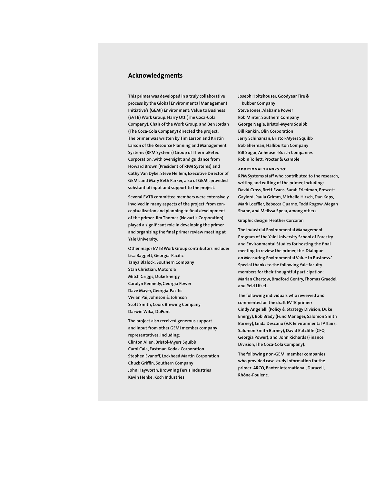# **Acknowledgments**

**This primer was developed in a truly collaborative process by the Global Environmental Management Initiative's (GEMI) Environment: Value to Business (EVTB) Work Group. Harry Ott (The Coca-Cola Company), Chair of the Work Group, and Ben Jordan (The Coca-Cola Company) directed the project. The primer was written by Tim Larson and Kristin Larson of the Resource Planning and Management Systems (RPM Systems) Group of ThermoRetec Corporation, with oversight and guidance from Howard Brown (President of RPM Systems) and Cathy Van Dyke. Steve Hellem, Executive Director of GEMI, and Mary Beth Parker, also of GEMI, provided substantial input and support to the project.**

**Several EVTB committee members were extensively involved in many aspects of the project, from conceptualization and planning to final development of the primer. Jim Thomas (Novartis Corporation) played a significant role in developing the primer and organizing the final primer review meeting at Yale University.**

**Other major EVTB Work Group contributors include: Lisa Baggett, Georgia-Pacific Tanya Blalock, Southern Company Stan Christian, Motorola Mitch Griggs, Duke Energy Carolyn Kennedy, Georgia Power Dave Mayer, Georgia-Pacific Vivian Pai, Johnson & Johnson Scott Smith, Coors Brewing Company Darwin Wika, DuPont**

**The project also received generous support and input from other GEMI member company representatives, including: Clinton Allen, Bristol-Myers Squibb Carol Cala, Eastman Kodak Corporation Stephen Evanoff, Lockheed Martin Corporation Chuck Griffin, Southern Company John Hayworth, Browning Ferris Industries Kevin Henke, Koch Industries**

**Joseph Holtshouser, Goodyear Tire & Rubber Company Steve Jones, Alabama Power Rob Minter, Southern Company George Nagle, Bristol-Myers Squibb Bill Rankin, Olin Corporation Jerry Schinaman, Bristol-Myers Squibb Bob Sherman, Halliburton Company Bill Sugar, Anheuser-Busch Companies Robin Tollett, Procter & Gamble**

## **additional thanks to:**

**RPM Systems staff who contributed to the research, writing and editing of the primer, including: David Cross, Brett Evans, Sarah Friedman, Prescott Gaylord, Paula Grimm, Michelle Hirsch, Dan Kops, Mark Loeffler, Rebecca Quarno, Todd Rogow, Megan Shane, and Melissa Spear, among others.**

**Graphic design: Heather Corcoran** 

**The Industrial Environmental Management Program of the Yale University School of Forestry and Environmental Studies for hosting the final meeting to review the primer, the 'Dialogue on Measuring Environmental Value to Business.' Special thanks to the following Yale faculty members for their thoughtful participation: Marian Chertow, Bradford Gentry, Thomas Graedel, and Reid Lifset.**

**The following individuals who reviewed and commented on the draft EVTB primer: Cindy Angelelli (Policy & Strategy Division, Duke Energy), Bob Brady (Fund Manager, Salomon Smith Barney), Linda Descano (V.P. Environmental Affairs, Salomon Smith Barney), David Ratcliffe (CFO, Georgia Power), and John Richards (Finance Division, The Coca-Cola Company).**

**The following non-GEMI member companies who provided case study information for the primer: ARCO, Baxter International, Duracell, Rhône-Poulenc.**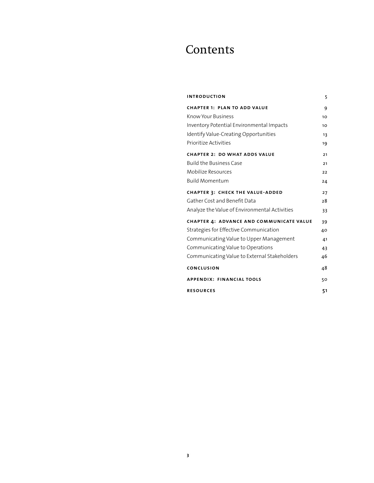# **Contents**

| <b>INTRODUCTION</b>                           | 5  |
|-----------------------------------------------|----|
| <b>CHAPTER 1: PLAN TO ADD VALUE</b>           | 9  |
| Know Your Business                            | 10 |
| Inventory Potential Environmental Impacts     | 10 |
| Identify Value-Creating Opportunities         | 13 |
| Prioritize Activities                         | 19 |
| <b>CHAPTER 2: DO WHAT ADDS VALUE</b>          | 21 |
| <b>Build the Business Case</b>                | 21 |
| Mobilize Resources                            | 22 |
| <b>Build Momentum</b>                         | 24 |
| CHAPTER 3: CHECK THE VALUE-ADDED              | 27 |
| Gather Cost and Benefit Data                  | 28 |
| Analyze the Value of Environmental Activities | 33 |
| CHAPTER 4: ADVANCE AND COMMUNICATE VALUE      | 39 |
| Strategies for Effective Communication        | 40 |
| Communicating Value to Upper Management       | 41 |
| Communicating Value to Operations             | 43 |
| Communicating Value to External Stakeholders  | 46 |
| <b>CONCLUSION</b>                             | 48 |
| <b>APPENDIX: FINANCIAL TOOLS</b>              | 50 |
| <b>RESOURCES</b>                              | 51 |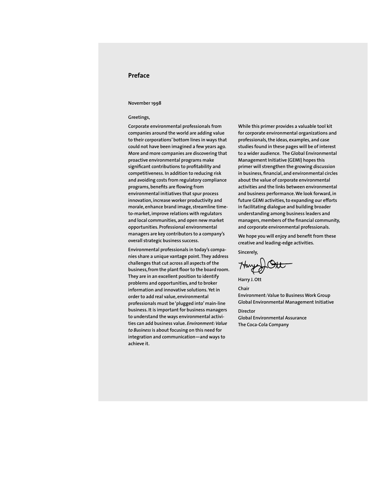# **Preface**

# **November 1998**

# **Greetings,**

**Corporate environmental professionals from companies around the world are adding value to their corporations' bottom lines in ways that could not have been imagined a few years ago. More and more companies are discovering that proactive environmental programs make significant contributions to profitability and competitiveness. In addition to reducing risk and avoiding costs from regulatory compliance programs, benefits are flowing from environmental initiatives that spur process innovation, increase worker productivity and morale, enhance brand image, streamline timeto-market, improve relations with regulators and local communities, and open new market opportunities. Professional environmental managers are key contributors to a company's overall strategic business success.**

**Environmental professionals in today's companies share a unique vantage point. They address challenges that cut across all aspects of the business,from the plant floor to the board room. They are in an excellent position to identify problems and opportunities, and to broker information and innovative solutions. Yet in order to add real value, environmental professionals must be 'plugged into' main-line business. It is important for business managers to understand the ways environmental activities can add business value.** *Environment: Value to Business* **is about focusing on this need for integration and communication—and ways to achieve it.**

**While this primer provides a valuable tool kit for corporate environmental organizations and professionals, the ideas, examples, and case studies found in these pages will be of interest to a wider audience. The Global Environmental Management Initiative (GEMI) hopes this primer will strengthen the growing discussion in business, financial, and environmental circles about the value of corporate environmental activities and the links between environmental and business performance. We look forward, in future GEMI activities, to expanding our efforts in facilitating dialogue and building broader understanding among business leaders and managers, members of the financial community, and corporate environmental professionals.**

**We hope you will enjoy and benefit from these creative and leading-edge activities.**

**Sincerely,**

**Harry J. Ott**

**Chair Environment: Value to Business Work Group Global Environmental Management Initiative**

**Director Global Environmental Assurance The Coca-Cola Company**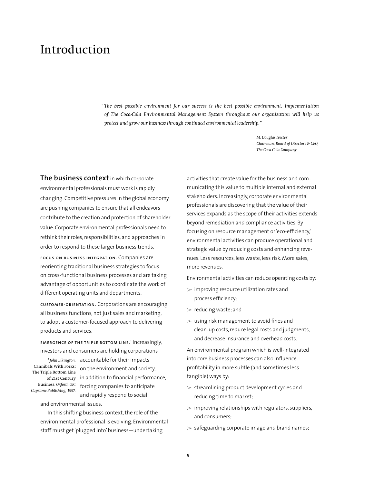# Introduction

*The best possible environment for our success is the best possible environment. Implementation "of The Coca-Cola Environmental Management System throughout our organization will help us protect and grow our business through continued environmental leadership."*

> *M. Douglas Ivester Chairman, Board of Directors & CEO, The Coca-Cola Company*

**The business context**in which corporate environmental professionals must work is rapidly changing. Competitive pressures in the global economy are pushing companies to ensure that all endeavors contribute to the creation and protection of shareholder value. Corporate environmental professionals need to rethink their roles, responsibilities, and approaches in order to respond to these larger business trends.

focus on business integration. Companies are reorienting traditional business strategies to focus on cross-functional business processes and are taking advantage of opportunities to coordinate the work of different operating units and departments.

customer-orientation. Corporations are encouraging all business functions, not just sales and marketing, to adopt a customer-focused approach to delivering products and services.

emergence of the triple bottom line.<sup>1</sup> Increasingly, investors and consumers are holding corporations

The Triple Bottom Line Business. *Oxford, UK: Capstone Publishing, 1997.*

<sup>1</sup> John Elkington, accountable for their impacts Cannibals With Forks: on the environment and society, of 21st Century in addition to financial performance, forcing companies to anticipate and rapidly respond to social

and environmental issues.

In this shifting business context, the role of the environmental professional is evolving. Environmental staff must get 'plugged into' business—undertaking

activities that create value for the business and communicating this value to multiple internal and external stakeholders. Increasingly, corporate environmental professionals are discovering that the value of their services expands as the scope of their activities extends beyond remediation and compliance activities. By focusing on resource management or 'eco-efficiency,' environmental activities can produce operational and strategic value by reducing costs and enhancing revenues. Less resources, less waste, less risk. More sales, more revenues.

Environmental activities can reduce operating costs by:

- $>$  improving resource utilization rates and process efficiency;
- $>$  reducing waste; and
- $>$  using risk management to avoid fines and clean-up costs, reduce legal costs and judgments, and decrease insurance and overhead costs.

An environmental program which is well-integrated into core business processes can also influence profitability in more subtle (and sometimes less tangible) ways by:

- $>$  streamlining product development cycles and reducing time to market;
- $>$  improving relationships with regulators, suppliers, and consumers;
- $>$  safeguarding corporate image and brand names;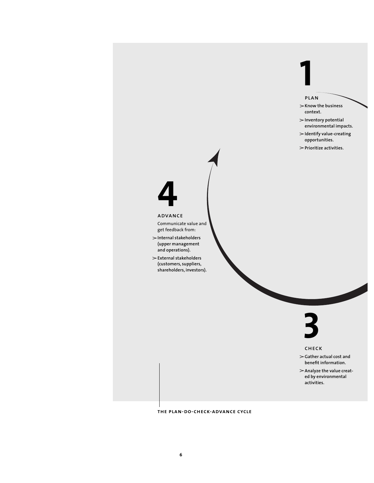

**the plan-do-check-advance cycle**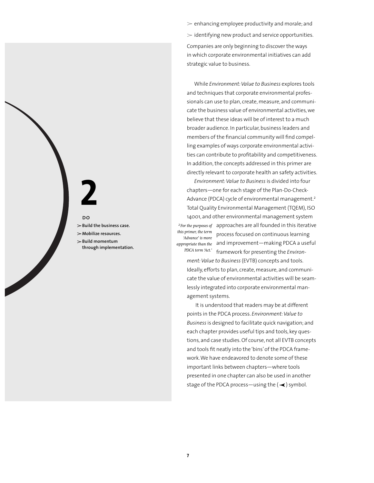**2**

# do

**Build the business case.**

**Mobilize resources.**

**Build momentum through implementation.**  $>$  enhancing employee productivity and morale; and  $\geq$  identifying new product and service opportunities. Companies are only beginning to discover the ways in which corporate environmental initiatives can add strategic value to business.

While *Environment:Value to Business* explores tools and techniques that corporate environmental professionals can use to plan, create, measure, and communicate the business value of environmental activities, we believe that these ideas will be of interest to a much broader audience. In particular, business leaders and members of the financial community will find compelling examples of ways corporate environmental activities can contribute to profitability and competitiveness. In addition, the concepts addressed in this primer are directly relevant to corporate health an safety activities.

*Environment:Value to Business*is divided into four chapters—one for each stage of the Plan-Do-Check-Advance (PDCA) cycle of environmental management.<sup>2</sup> Total Quality Environmental Management (TQEM), ISO 14001, and other environmental management system

*this primer, the term 'Advance' is more*

<sup>2</sup> For the purposes of approaches are all founded in this iterative process focused on continuous learning appropriate than the and improvement—making PDCA a useful framework for presenting the *Environ-PDCA term 'Act.'*

*ment:Value to Business* (EVTB) concepts and tools. Ideally, efforts to plan, create, measure, and communicate the value of environmental activities will be seamlessly integrated into corporate environmental management systems.

It is understood that readers may be at different points in the PDCA process. *Environment: Value to Business* is designed to facilitate quick navigation; and each chapter provides useful tips and tools, key questions, and case studies. Of course, not all EVTB concepts and tools fit neatly into the 'bins' of the PDCA framework.We have endeavored to denote some of these important links between chapters—where tools presented in one chapter can also be used in another stage of the PDCA process—using the  $(\blacktriangleleft)$  symbol.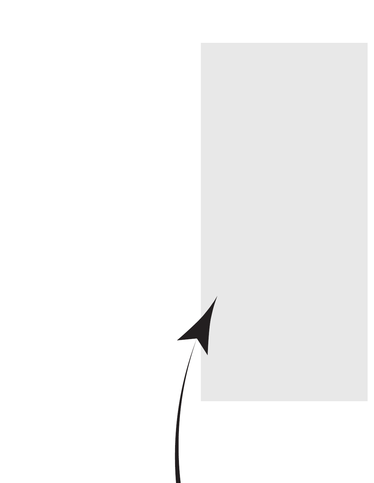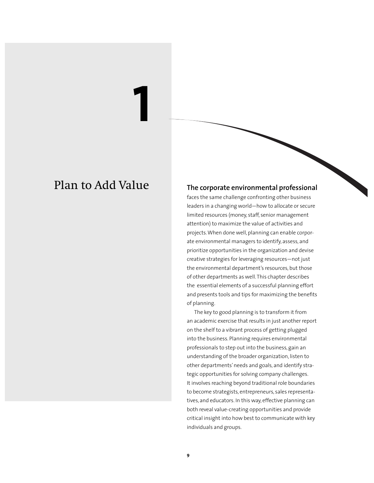# Plan to Add Value

**1**

# **The corporate environmental professional**

faces the same challenge confronting other business leaders in a changing world—how to allocate or secure limited resources (money, staff, senior management attention) to maximize the value of activities and projects.When done well, planning can enable corporate environmental managers to identify, assess, and prioritize opportunities in the organization and devise creative strategies for leveraging resources—not just the environmental department's resources, but those of other departments as well. This chapter describes the essential elements of a successful planning effort and presents tools and tips for maximizing the benefits of planning.

The key to good planning is to transform it from an academic exercise that results in just another report on the shelf to a vibrant process of getting plugged into the business. Planning requires environmental professionals to step out into the business, gain an understanding of the broader organization, listen to other departments' needs and goals, and identify strategic opportunities for solving company challenges. It involves reaching beyond traditional role boundaries to become strategists, entrepreneurs, sales representatives, and educators. In this way, effective planning can both reveal value-creating opportunities and provide critical insight into how best to communicate with key individuals and groups.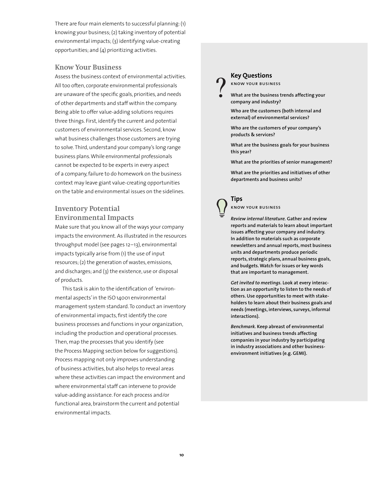There are four main elements to successful planning: (1) knowing your business; (2) taking inventory of potential environmental impacts; (3) identifying value-creating opportunities; and (4) prioritizing activities.

# **Know Your Business**

Assess the business context of environmental activities. All too often, corporate environmental professionals are unaware of the specific goals, priorities, and needs of other departments and staff within the company. Being able to offer value-adding solutions requires three things. First, identify the current and potential customers of environmental services. Second, know what business challenges those customers are trying to solve. Third, understand your company's long range business plans.While environmental professionals cannot be expected to be experts in every aspect of a company, failure to do homework on the business context may leave giant value-creating opportunities on the table and environmental issues on the sidelines.

# **Inventory Potential Environmental Impacts**

Make sure that you know all of the ways your company impacts the environment. As illustrated in the resources throughput model (see pages 12–13), environmental impacts typically arise from (1) the use of input resources; (2) the generation of wastes, emissions, and discharges; and (3) the existence, use or disposal of products.

This task is akin to the identification of 'environmental aspects'in the ISO 14001 environmental management system standard. To conduct an inventory of environmental impacts, first identify the core business processes and functions in your organization, including the production and operational processes. Then, map the processes that you identify (see the Process Mapping section below for suggestions). Process mapping not only improves understanding of business activities, but also helps to reveal areas where these activities can impact the environment and where environmental staff can intervene to provide value-adding assistance. For each process and/or functional area, brainstorm the current and potential environmental impacts.

# **Key Questions**  know your business

**What are the business trends affecting your company and industry?**

**Who are the customers (both internal and external) of environmental services?**

**Who are the customers of your company's products & services?**

**What are the business goals for your business this year?**

**What are the priorities of senior management?**

**What are the priorities and initiatives of other departments and business units?**

# **Tips**  know your business

*Review internal literature.* **Gather and review reports and materials to learn about important issues affecting your company and industry. In addition to materials such as corporate newsletters and annual reports, most business units and departments produce periodic reports, strategic plans, annual business goals, and budgets. Watch for issues or key words that are important to management.**

*Get invited to meetings.* **Look at every interaction as an opportunity to listen to the needs of others. Use opportunities to meet with stakeholders to learn about their business goals and needs (meetings, interviews, surveys, informal interactions).**

*Benchmark.* **Keep abreast of environmental initiatives and business trends affecting companies in your industry by participating in industry associations and other businessenvironment initiatives (e.g. GEMI).**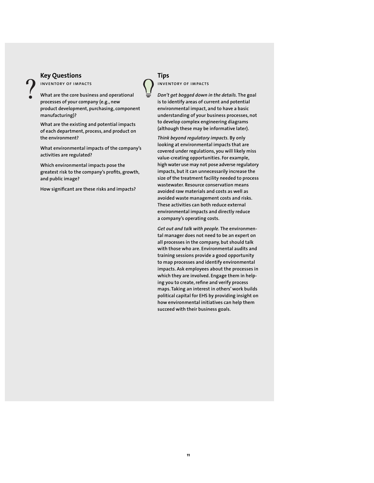# **Key Questions**

inventory of impacts

**What are the core business and operational processes of your company (e.g., new product development, purchasing, component manufacturing)?**

**What are the existing and potential impacts of each department, process, and product on the environment?**

**What environmental impacts of the company's activities are regulated?**

**Which environmental impacts pose the greatest risk to the company's profits, growth, and public image?**

**How significant are these risks and impacts?**

# **Tips**

inventory of impacts

*Don't get bogged down in the details.* **The goal is to identify areas of current and potential environmental impact, and to have a basic understanding of your business processes, not to develop complex engineering diagrams (although these may be informative later).**

*Think beyond regulatory impacts.* **By only looking at environmental impacts that are covered under regulations, you will likely miss value-creating opportunities. For example, high water use may not pose adverse regulatory impacts, but it can unnecessarily increase the size of the treatment facility needed to process wastewater. Resource conservation means avoided raw materials and costs as well as avoided waste management costs and risks. These activities can both reduce external environmental impacts and directly reduce a company's operating costs.**

*Get out and talk with people.* **The environmental manager does not need to be an expert on all processes in the company, but should talk with those who are. Environmental audits and training sessions provide a good opportunity to map processes and identify environmental impacts. Ask employees about the processes in which they are involved. Engage them in helping you to create, refine and verify process maps. Taking an interest in others' work builds political capital for EHS by providing insight on how environmental initiatives can help them succeed with their business goals.**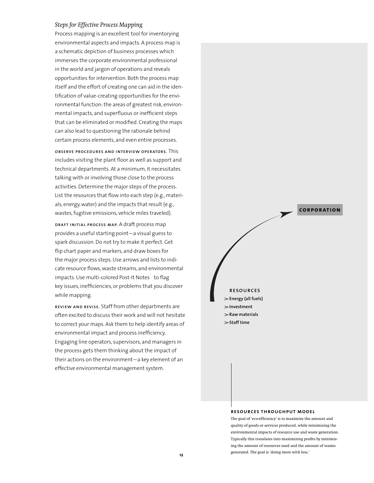# *Steps for Effective Process Mapping*

Process mapping is an excellent tool for inventorying environmental aspects and impacts. A process map is a schematic depiction of business processes which immerses the corporate environmental professional in the world and jargon of operations and reveals opportunities for intervention. Both the process map itself and the effort of creating one can aid in the identification of value-creating opportunities for the environmental function: the areas of greatest risk, environmental impacts, and superfluous or inefficient steps that can be eliminated or modified. Creating the maps can also lead to questioning the rationale behind certain process elements, and even entire processes.

observe procedures and interview operators. This includes visiting the plant floor as well as support and technical departments. At a minimum, it necessitates talking with or involving those close to the process activities. Determine the major steps of the process. List the resources that flow into each step (e.g., materials, energy, water) and the impacts that result (e.g., wastes, fugitive emissions, vehicle miles traveled).

draft initial process map. A draft process map provides a useful starting point—a visual guess to spark discussion. Do not try to make it perfect. Get flip chart paper and markers, and draw boxes for the major process steps. Use arrows and lists to indicate resource flows, waste streams, and environmental impacts. Use multi-colored Post-It Notes® to flag key issues, inefficiencies, or problems that you discover while mapping.

review and revise. Staff from other departments are often excited to discuss their work and will not hesitate to correct your maps. Ask them to help identify areas of environmental impact and process inefficiency. Engaging line operators, supervisors, and managers in the process gets them thinking about the impact of their actions on the environment—a key element of an effective environmental management system.



# **resources throughput model**

The goal of 'eco-efficiency' is to maximize the amount and quality of goods or services produced, while minimizing the environmental impacts of resource use and waste generation. Typically this translates into maximizing profits by minimizing the amount of resources used and the amount of wastes generated. The goal is 'doing more with less.'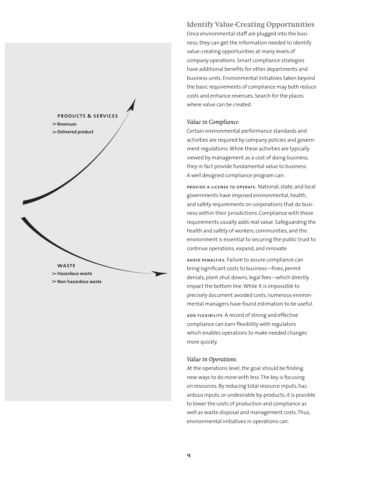

# **Identify Value-Creating Opportunities**

Once environmental staff are plugged into the business, they can get the information needed to identify value-creating opportunities at many levels of company operations. Smart compliance strategies have additional benefits for other departments and business units. Environmental initiatives taken beyond the basic requirements of compliance may both reduce costs and enhance revenues. Search for the places where value can be created.

# *Value in Compliance*

Certain environmental performance standards and activities are required by company policies and government regulations.While these activities are typically viewed by management as a cost of doing business, they in fact provide fundamental value to business. A well designed compliance program can:

provide a license to operate. National, state, and local governments have imposed environmental, health, and safety requirements on corporations that do business within their jurisdictions. Compliance with these requirements usually adds real value. Safeguarding the health and safety of workers, communities, and the environment is essential to securing the public trust to continue operations, expand, and innovate.

avoid penalties. Failure to assure compliance can bring significant costs to business—fines, permit denials, plant shut downs, legal fees—which directly impact the bottom line.While it is impossible to precisely document avoided costs, numerous environmental managers have found estimation to be useful.

ADD FLEXIBILITY. A record of strong and effective compliance can earn flexibility with regulators which enables operations to make needed changes more quickly.

# *Value in Operations*

At the operations level, the goal should be finding new ways to do more with less. The key is focusing on resources. By reducing total resource inputs, hazardous inputs, or undesirable by-products, it is possible to lower the costs of production and compliance as well as waste disposal and management costs. Thus, environmental initiatives in operations can: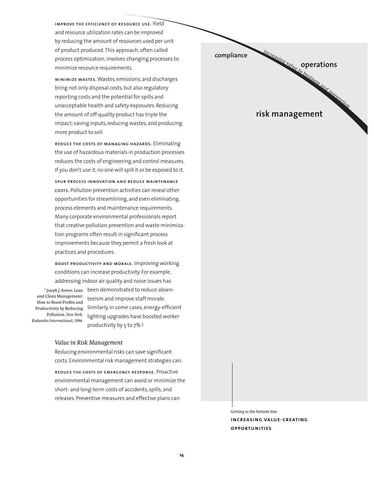improve the efficiency of resource use. Yield and resource utilization rates can be improved by reducing the amount of resources used per unit of product produced. This approach, often called process optimization, involves changing processes to minimize resource requirements.

minimize wastes. Wastes, emissions, and discharges bring not only disposal costs, but also regulatory reporting costs and the potential for spills and unacceptable health and safety exposures. Reducing the amount of off-quality product has triple the impact: saving inputs, reducing wastes, and producing more product to sell.

reduce the costs of managing hazards. Eliminating the use of hazardous materials in production processes reduces the costs of engineering and control measures. If you don't use it, no one will spill it or be exposed to it.

spur process innovation and reduce maintenance costs. Pollution prevention activities can reveal other opportunities for streamlining, and even eliminating, process elements and maintenance requirements. Many corporate environmental professionals report that creative pollution prevention and waste minimization programs often result in significant process improvements because they permit a fresh look at practices and procedures.

boost productivity and morale. Improving working conditions can increase productivity. For example, addressing indoor air quality and noise issues has

and Clean Management: How to Boost Profits and *Kodansha International, 1994.*

<sup>3</sup> Joseph J. Romm, Lean been demonstrated to reduce absenteeism and improve staff morale. Productivity by Reducing Similarly, in some cases, energy-efficient Pollution. New York: lighting upgrades have boosted worker productivity by 5 to 7%.3

# *Value in Risk Management*

Reducing environmental risks can save significant costs. Environmental risk management strategies can:

reduce the costs of emergency response. Proactive environmental management can avoid or minimize the short- and long-term costs of accidents, spills, and releases. Preventive measures and effective plans can



Getting to the bottom line **increasing value-creating opportunities**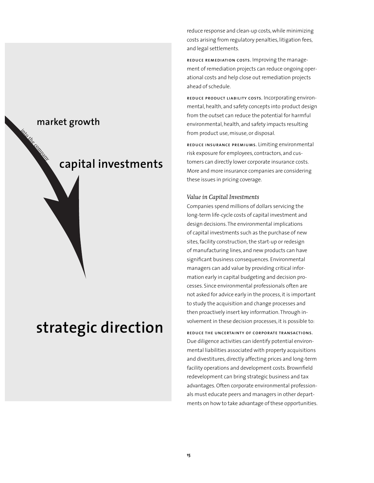into the company **market growth**

# **capital investments**

# **strategic direction**

reduce response and clean-up costs, while minimizing costs arising from regulatory penalties, litigation fees, and legal settlements.

REDUCE REMEDIATION COSTS. Improving the management of remediation projects can reduce ongoing operational costs and help close out remediation projects ahead of schedule.

reduce product liability costs. Incorporating environmental, health, and safety concepts into product design from the outset can reduce the potential for harmful environmental, health, and safety impacts resulting from product use, misuse, or disposal.

reduce insurance premiums. Limiting environmental risk exposure for employees, contractors, and customers can directly lower corporate insurance costs. More and more insurance companies are considering these issues in pricing coverage.

# *Value in Capital Investments*

Companies spend millions of dollars servicing the long-term life-cycle costs of capital investment and design decisions. The environmental implications of capital investments such as the purchase of new sites, facility construction, the start-up or redesign of manufacturing lines, and new products can have significant business consequences. Environmental managers can add value by providing critical information early in capital budgeting and decision processes. Since environmental professionals often are not asked for advice early in the process, it is important to study the acquisition and change processes and then proactively insert key information. Through involvement in these decision processes, it is possible to:

reduce the uncertainty of corporate transactions. Due diligence activities can identify potential environmental liabilities associated with property acquisitions and divestitures, directly affecting prices and long-term facility operations and development costs. Brownfield redevelopment can bring strategic business and tax advantages. Often corporate environmental professionals must educate peers and managers in other departments on how to take advantage of these opportunities.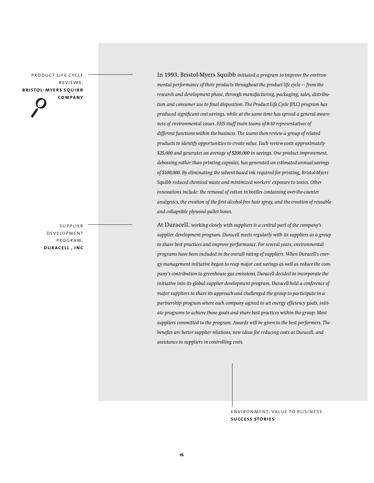product life cyclereviews:**bristol-myers squibb company**

> supplier development program:**duracell , inc**

In 1993, Bristol-Myers Squibb *initiated a program to improve the environmental performance of their products throughout the product life cycle — from the research and development phase, through manufacturing, packaging, sales, distribution and consumer use to final disposition. The Product Life Cycle (PLC) program has produced significant cost savings, while at the same time has spread a general awareness of environmental issues. EHS staff train teams of 8-10 representatives of different functions within the business. The teams then review a group of related products to identify opportunities to create value. Each review costs approximately \$25,000 and generates an average of \$200,000 in savings. One product improvement, debossing rather than printing capsules, has generated an estimated annual savings of \$100,000. By eliminating the solvent-based ink required for printing, Bristol-Myers Squibb reduced chemical waste and minimized workers' exposure to toxics. Other innovations include: the removal of cotton in bottles containing over-the-counter analgesics, the creation of the first alcohol-free hair spray, and the creation of reusable and collapsible plywood pallet boxes.*

At Duracell, *working closely with suppliers is a central part of the company's supplier development program. Duracell meets regularly with its suppliers as a group to share best practices and improve performance. For several years, environmental programs have been included in the overall rating of suppliers. When Duracell's energy management initiative began to reap major cost savings as well as reduce the company's contribution to greenhouse gas emissions, Duracell decided to incorporate the initiative into its global supplier development program. Duracell held a conference of major suppliers to share its approach and challenged the group to participate in a partnership program where each company agreed to set energy efficiency goals, initiate programs to achieve those goals and share best practices within the group. Most suppliers committed to the program. Awards will be given to the best performers. The benefits are better supplier relations, new ideas for reducing costs at Duracell, and assistance to suppliers in controlling costs.*

> environment: value to business **success stories**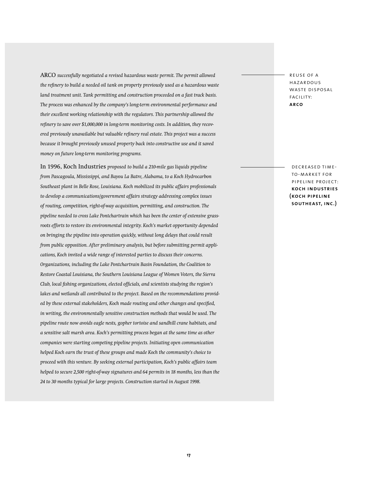ARCO *successfully negotiated a revised hazardous waste permit. The permit allowed the refinery to build a needed oil tank on property previously used as a hazardous waste land treatment unit. Tank permitting and construction proceeded on a fast track basis. The process was enhanced by the company's long-term environmental performance and their excellent working relationship with the regulators. This partnership allowed the refinery to save over \$1,000,000 in long-term monitoring costs. In addition, they recovered previously unavailable but valuable refinery real estate. This project was a success because it brought previously unused property back into constructive use and it saved money on future long-term monitoring programs.*

In 1996, Koch Industries *proposed to build a 210-mile gas liquids pipeline from Pascagoula, Mississippi, and Bayou La Batre, Alabama, to a Koch Hydrocarbon Southeast plant in Belle Rose, Louisiana. Koch mobilized its public affairs professionals to develop a communications/government affairs strategy addressing complex issues of routing, competition, right-of-way acquisition, permitting, and construction. The pipeline needed to cross Lake Pontchartrain which has been the center of extensive grassroots efforts to restore its environmental integrity. Koch's market opportunity depended on bringing the pipeline into operation quickly, without long delays that could result from public opposition. After preliminary analysis, but before submitting permit applications, Koch invited a wide range of interested parties to discuss their concerns. Organizations, including the Lake Pontchartrain Basin Foundation, the Coalition to Restore Coastal Louisiana, the Southern Louisiana League of Women Voters, the Sierra Club, local fishing organizations, elected officials, and scientists studying the region's lakes and wetlands all contributed to the project. Based on the recommendations provided by these external stakeholders, Koch made routing and other changes and specified, in writing, the environmentally sensitive construction methods that would be used. The pipeline route now avoids eagle nests, gopher tortoise and sandhill crane habitats, and a sensitive salt marsh area. Koch's permitting process began at the same time as other companies were starting competing pipeline projects. Initiating open communication helped Koch earn the trust of these groups and made Koch the community's choice to proceed with this venture. By seeking external participation, Koch's public affairs team helped to secure 2,500 right-of-way signatures and 64 permits in 18 months, less than the 24 to 30 months typical for large projects. Construction started in August 1998.*

reuse of a hazardous waste disposal facility:**arco**

decreased timeto-market for pipeline project: **koch industries (koch pipeline southeast, inc.)**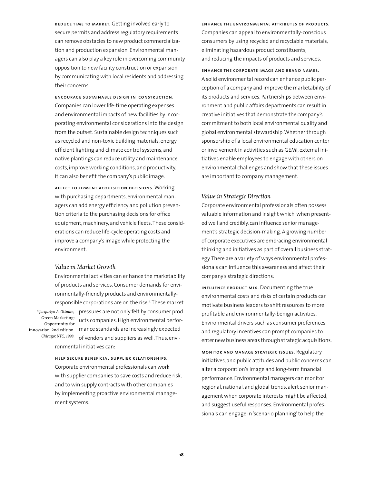REDUCE TIME TO MARKET. Getting involved early to secure permits and address regulatory requirements can remove obstacles to new product commercialization and production expansion. Environmental managers can also play a key role in overcoming community opposition to new facility construction or expansion by communicating with local residents and addressing their concerns.

encourage sustainable design in construction. Companies can lower life-time operating expenses and environmental impacts of new facilities by incorporating environmental considerations into the design from the outset. Sustainable design techniques such as recycled and non-toxic building materials, energy efficient lighting and climate control systems, and native plantings can reduce utility and maintenance costs, improve working conditions, and productivity. It can also benefit the company's public image.

affect equipment acquisition decisions. Working with purchasing departments, environmental managers can add energy efficiency and pollution prevention criteria to the purchasing decisions for office equipment, machinery, and vehicle fleets. These considerations can reduce life-cycle operating costs and improve a company's image while protecting the environment.

# *Value in Market Growth*

Environmental activities can enhance the marketability of products and services. Consumer demands for environmentally-friendly products and environmentallyresponsible corporations are on the rise.4 These market *<sup>4</sup> Jacquelyn A. Ottman,* pressures are not only felt by consumer products companies. High environmental perfor-Innovation, 2nd edition. Mance standards are increasingly expected of vendors and suppliers as well. Thus, environmental initiatives can: Green Marketing: Opportunity for *Chicago: NTC, 1998.* 

> help secure beneficial supplier relationships. Corporate environmental professionals can work with supplier companies to save costs and reduce risk, and to win supply contracts with other companies by implementing proactive environmental management systems.

enhance the environmental attributes of products. Companies can appeal to environmentally-conscious consumers by using recycled and recyclable materials, eliminating hazardous product constituents, and reducing the impacts of products and services.

enhance the corporate image and brand names. A solid environmental record can enhance public perception of a company and improve the marketability of its products and services. Partnerships between environment and public affairs departments can result in creative initiatives that demonstrate the company's commitment to both local environmental quality and global environmental stewardship.Whether through sponsorship of a local environmental education center or involvement in activities such as GEMI, external initiatives enable employees to engage with others on environmental challenges and show that these issues are important to company management.

# *Value in Strategic Direction*

Corporate environmental professionals often possess valuable information and insight which, when presented well and credibly, can influence senior management's strategic decision-making. A growing number of corporate executives are embracing environmental thinking and initiatives as part of overall business strategy. There are a variety of ways environmental professionals can influence this awareness and affect their company's strategic directions:

influence product mix. Documenting the true environmental costs and risks of certain products can motivate business leaders to shift resources to more profitable and environmentally-benign activities. Environmental drivers such as consumer preferences and regulatory incentives can prompt companies to enter new business areas through strategic acquisitions.

monitor and manage strategic issues. Regulatory initiatives, and public attitudes and public concerns can alter a corporation's image and long-term financial performance. Environmental managers can monitor regional, national, and global trends, alert senior management when corporate interests might be affected, and suggest useful responses. Environmental professionals can engage in 'scenario planning' to help the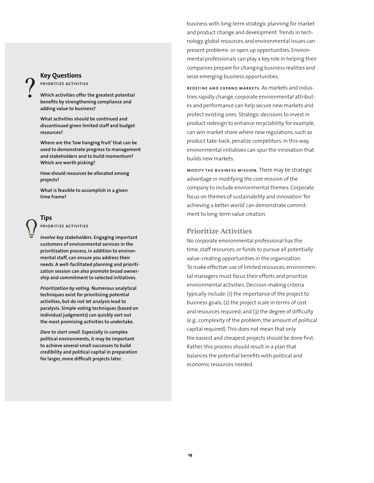# **Key Questions**

prioritize activities

**Which activities offer the greatest potential benefits by strengthening compliance and adding value to business?**

**What activities should be continued and discontinued given limited staff and budget resources?**

**Where are the 'low hanging fruit' that can be used to demonstrate progress to management and stakeholders and to build momentum? Which are worth picking?**

**How should resources be allocated among projects?**

**What is feasible to accomplish in a given time frame?**



prioritize activities

*Involve key stakeholders.* **Engaging important customers of environmental services in the prioritization process, in addition to environmental staff, can ensure you address their needs. A well-facilitated planning and prioritization session can also promote broad ownership and commitment to selected initiatives.**

*Prioritization by voting.* **Numerous analytical techniques exist for prioritizing potential activities, but do not let analysis lead to paralysis. Simple voting techniques (based on individual judgments) can quickly sort out the most promising activities to undertake.**

*Dare to start small.* **Especially in complex political environments, it may be important to achieve several small successes to build credibility and political capital in preparation for larger, more difficult projects later.**

business with long-term strategic planning for market and product change and development. Trends in technology, global resources, and environmental issues can present problems or open up opportunities. Environmental professionals can play a key role in helping their companies prepare for changing business realities and seize emerging business opportunities.

redefine and expand markets. As markets and industries rapidly change, corporate environmental attributes and performance can help secure new markets and protect existing ones. Strategic decisions to invest in product redesign to enhance recyclability, for example, can win market share where new regulations, such as product take-back, penalize competitors. In this way, environmental initiatives can spur the innovation that builds new markets.

modify the business mission. There may be strategic advantage in modifying the core mission of the company to include environmental themes. Corporate focus on themes of sustainability and innovation 'for achieving a better world' can demonstrate commitment to long-term value creation.

# **Prioritize Activities**

No corporate environmental professional has the time, staff resources, or funds to pursue all potentially value-creating opportunities in the organization. To make effective use of limited resources, environmental managers must focus their efforts and prioritize environmental activities. Decision-making criteria typically include: (1) the importance of the project to business goals; (2) the project scale in terms of cost and resources required; and (3) the degree of difficulty (e.g., complexity of the problem, the amount of political capital required). This does not mean that only the easiest and cheapest projects should be done first. Rather, this process should result in a plan that balances the potential benefits with political and economic resources needed.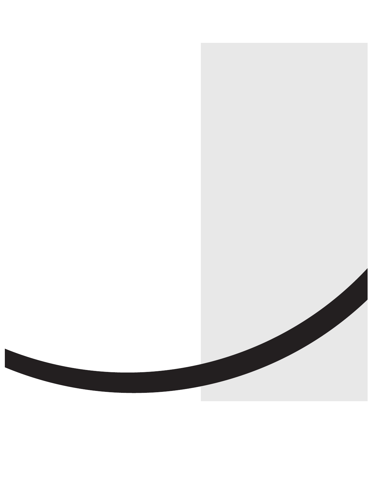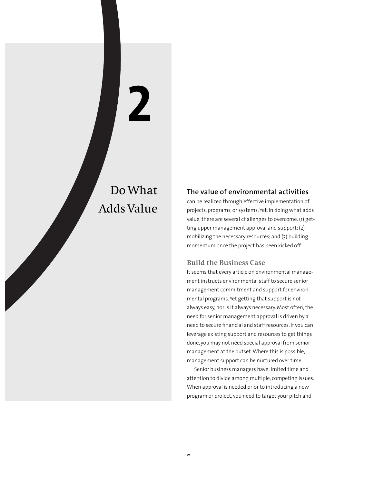Do What Adds Value

**2**

# **The value of environmental activities**

can be realized through effective implementation of projects, programs, or systems. Yet, in doing what adds value, there are several challenges to overcome: (1) getting upper management approval and support; (2) mobilizing the necessary resources; and (3) building momentum once the project has been kicked off.

# **Build the Business Case**

It seems that every article on environmental management instructs environmental staff to secure senior management commitment and support for environmental programs. Yet getting that support is not always easy, nor is it always necessary. Most often, the need for senior management approval is driven by a need to secure financial and staff resources. If you can leverage existing support and resources to get things done, you may not need special approval from senior management at the outset.Where this is possible, management support can be nurtured over time.

Senior business managers have limited time and attention to divide among multiple, competing issues. When approval is needed prior to introducing a new program or project, you need to target your pitch and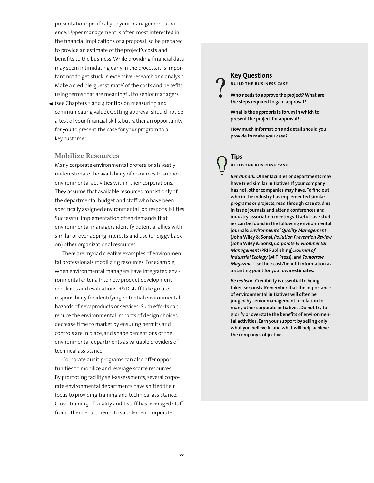presentation specifically to your management audience. Upper management is often most interested in the financial implications of a proposal, so be prepared to provide an estimate of the project's costs and benefits to the business.While providing financial data may seem intimidating early in the process, it is important not to get stuck in extensive research and analysis. Make a credible 'guesstimate' of the costs and benefits, using terms that are meaningful to senior managers

 $\prec$  (see Chapters 3 and 4 for tips on measuring and communicating value). Getting approval should not be a test of your financial skills, but rather an opportunity for you to present the case for your program to a key customer.

# **Mobilize Resources**

Many corporate environmental professionals vastly underestimate the availability of resources to support environmental activities within their corporations. They assume that available resources consist only of the departmental budget and staff who have been specifically assigned environmental job responsibilities. Successful implementation often demands that environmental managers identify potential allies with similar or overlapping interests and use (or piggy back on) other organizational resources.

There are myriad creative examples of environmental professionals mobilizing resources. For example, when environmental managers have integrated environmental criteria into new product development checklists and evaluations, R&D staff take greater responsibility for identifying potential environmental hazards of new products or services. Such efforts can reduce the environmental impacts of design choices, decrease time to market by ensuring permits and controls are in place, and shape perceptions of the environmental departments as valuable providers of technical assistance.

Corporate audit programs can also offer opportunities to mobilize and leverage scarce resources. By promoting facility self-assessments, several corporate environmental departments have shifted their focus to providing training and technical assistance. Cross-training of quality audit staff has leveraged staff from other departments to supplement corporate

# **Key Questions**  build the business case

**Who needs to approve the project? What are the steps required to gain approval?** 

**What is the appropriate forum in which to present the project for approval?**

**How much information and detail should you provide to make your case?**

# **Tips**  build the business case

*Benchmark.* **Other facilities or departments may have tried similar initiatives. If your company has not, other companies may have. To find out who in the industry has implemented similar programs or projects, read through case studies in trade journals and attend conferences and industry association meetings. Useful case studies can be found in the following environmental journals:** *Environmental Quality Management* **(John Wiley & Sons),** *Pollution Prevention Review* **(John Wiley & Sons),** *Corporate Environmental Management* **(PRI Publishing),***Journal of Industrial Ecology* **(MIT Press), and** *Tomorrow Magazine***. Use their cost/benefit information as a starting point for your own estimates.**

*Be realistic.* **Credibility is essential to being taken seriously. Remember that the importance of environmental initiatives will often be judged by senior management in relation to many other corporate initiatives. Do not try to glorify or overstate the benefits of environmental activities. Earn your support by selling only what you believe in and what will help achieve the company's objectives.**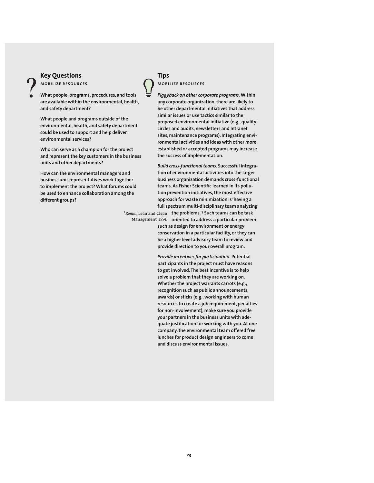# **Key Questions**

mobilize resources

**What people, programs, procedures, and tools are available within the environmental, health, and safety department?**

**What people and programs outside of the environmental, health, and safety department could be used to support and help deliver environmental services?** 

**Who can serve as a champion for the project and represent the key customers in the business units and other departments?**

**How can the environmental managers and business unit representatives work together to implement the project? What forums could be used to enhance collaboration among the different groups?**

# **Tips**

mobilize resources

*Piggyback on other corporate programs.***Within any corporate organization, there are likely to be other departmental initiatives that address similar issues or use tactics similar to the proposed environmental initiative (e.g., quality circles and audits, newsletters and Intranet sites, maintenance programs). Integrating environmental activities and ideas with other more established or accepted programs may increase the success of implementation.**

*Build cross-functional teams.* **Successful integration of environmental activities into the larger business organization demands cross-functional teams. As Fisher Scientific learned in its pollution prevention initiatives, the most effective approach for waste minimization is 'having a full spectrum multi-disciplinary team analyzing**

**the problems.'5 Such teams can be task** *5 Romm,* Lean and Clean

**oriented to address a particular problem** Management*, 1994.***such as design for environment or energy conservation in a particular facility, or they can be a higher level advisory team to review and provide direction to your overall program.**

> *Provide incentives for participation.* **Potential participants in the project must have reasons to get involved. The best incentive is to help solve a problem that they are working on. Whether the project warrants carrots (e.g., recognition such as public announcements, awards) or sticks (e.g., working with human resources to create a job requirement, penalties for non-involvement), make sure you provide your partners in the business units with adequate justification for working with you. At one company, the environmental team offered free lunches for product design engineers to come and discuss environmental issues.**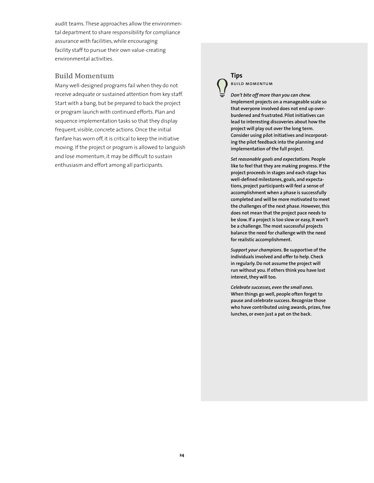audit teams. These approaches allow the environmental department to share responsibility for compliance assurance with facilities, while encouraging facility staff to pursue their own value-creating environmental activities.

# **Build Momentum**

Many well-designed programs fail when they do not receive adequate or sustained attention from key staff. Start with a bang, but be prepared to back the project or program launch with continued efforts. Plan and sequence implementation tasks so that they display frequent, visible, concrete actions. Once the initial fanfare has worn off, it is critical to keep the initiative moving. If the project or program is allowed to languish and lose momentum, it may be difficult to sustain enthusiasm and effort among all participants.

# **Tips**  build momentum

*Don't bite off more than you can chew.* **Implement projects on a manageable scale so that everyone involved does not end up overburdened and frustrated. Pilot initiatives can lead to interesting discoveries about how the project will play out over the long term. Consider using pilot initiatives and incorporating the pilot feedback into the planning and implementation of the full project.**

*Set reasonable goals and expectations.* **People like to feel that they are making progress. If the project proceeds in stages and each stage has well-defined milestones, goals, and expectations, project participants will feel a sense of accomplishment when a phase is successfully completed and will be more motivated to meet the challenges of the next phase. However, this does not mean that the project pace needs to be slow. If a project is too slow or easy, it won't be a challenge. The most successful projects balance the need for challenge with the need for realistic accomplishment.**

*Support your champions.* **Be supportive of the individuals involved and offer to help. Check in regularly. Do not assume the project will run without you. If others think you have lost interest, they will too.**

*Celebrate successes, even the small ones.* **When things go well, people often forget to pause and celebrate success. Recognize those who have contributed using awards, prizes, free lunches, or even just a pat on the back.**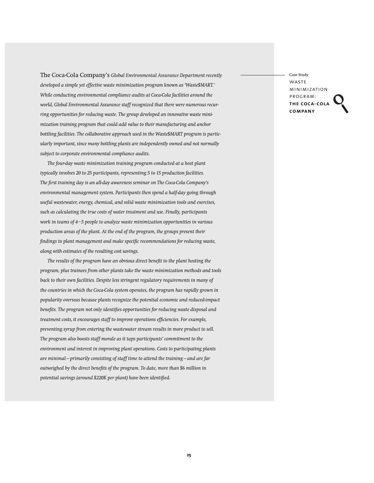The Coca-Cola Company's *Global Environmental Assurance Department recently developed a simple yet effective waste minimization program known as 'Waste\$MART.' While conducting environmental compliance audits at Coca-Cola facilities around the world, Global Environmental Assurance staff recognized that there were numerous recurring opportunities for reducing waste. The group developed an innovative waste minimization training program that could add value to their manufacturing and anchor bottling facilities. The collaborative approach used in the Waste\$MART program is particularly important, since many bottling plants are independently owned and not normally subject to corporate environmental compliance audits.*

*The four-day waste minimization training program conducted at a host plant typically involves 20 to 25 participants, representing 5 to 15 production facilities. The first training day is an all-day awareness seminar on The Coca-Cola Company's environmental management system. Participants then spend a half-day going through useful wastewater, energy, chemical, and solid waste minimization tools and exercises, such as calculating the true costs of water treatment and use. Finally, participants work in teams of 4–5 people to analyze waste minimization opportunities in various production areas of the plant. At the end of the program, the groups present their findings to plant management and make specific recommendations for reducing waste, along with estimates of the resulting cost savings.*

*The results of the program have an obvious direct benefit to the plant hosting the program, plus trainees from other plants take the waste minimization methods and tools back to their own facilities. Despite less stringent regulatory requirements in many of the countries in which the Coca-Cola system operates, the program has rapidly grown in popularity overseas because plants recognize the potential economic and reduced-impact benefits. The program not only identifies opportunities for reducing waste disposal and treatment costs, it encourages staff to improve operations efficiencies. For example, preventing syrup from entering the wastewater stream results in more product to sell. The program also boosts staff morale as it taps participants' commitment to the environment and interest in improving plant operations. Costs to participating plants are minimal—primarily consisting of staff time to attend the training—and are far outweighed by the direct benefits of the program. To date, more than \$6 million in potential savings (around \$220K per plant) have been identified.*

Case Study **WASTE** minimization program: **the coca-cola company**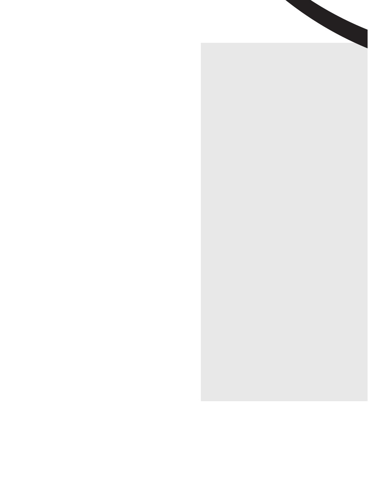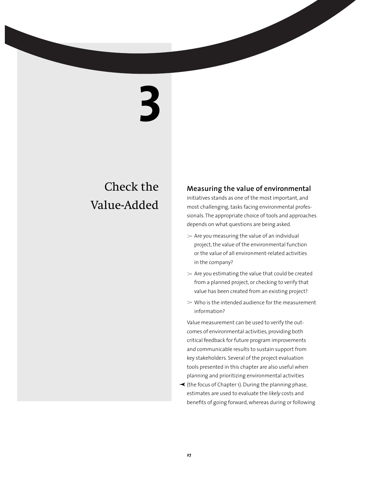# **3**

# Check the Value-Added

# **Measuring the value of environmental**

initiatives stands as one of the most important, and most challenging, tasks facing environmental professionals. The appropriate choice of tools and approaches depends on what questions are being asked.

- $>$  Are you measuring the value of an individual project, the value of the environmental function or the value of all environment-related activities in the company?
- $>$  Are you estimating the value that could be created from a planned project, or checking to verify that value has been created from an existing project?
- $>$  Who is the intended audience for the measurement information?

Value measurement can be used to verify the outcomes of environmental activities, providing both critical feedback for future program improvements and communicable results to sustain support from key stakeholders. Several of the project evaluation tools presented in this chapter are also useful when planning and prioritizing environmental activities

 $\blacktriangleleft$  (the focus of Chapter 1). During the planning phase, estimates are used to evaluate the *likely* costs and benefits of going forward, whereas during or following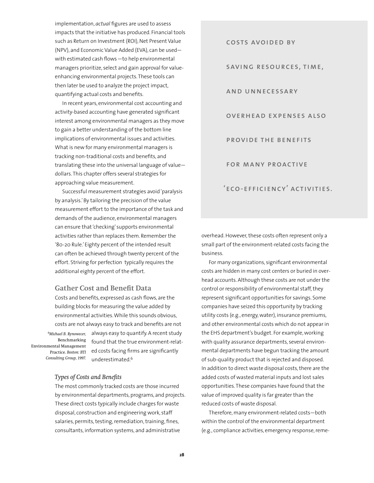implementation, *actual* figures are used to assess impacts that the initiative has produced. Financial tools such as Return on Investment (ROI), Net Present Value (NPV), and Economic Value Added (EVA), can be used with estimated cash flows —to help environmental managers prioritize, select and gain approval for valueenhancing environmental projects. These tools can then later be used to analyze the project impact, quantifying actual costs and benefits.

In recent years, environmental cost accounting and activity-based accounting have generated significant interest among environmental managers as they move to gain a better understanding of the bottom line implications of environmental issues and activities. What is new for many environmental managers is tracking non-traditional costs and benefits, and translating these into the universal language of value dollars. This chapter offers several strategies for approaching value measurement.

Successful measurement strategies avoid 'paralysis by analysis.' By tailoring the precision of the value measurement effort to the importance of the task and demands of the audience, environmental managers can ensure that 'checking' supports environmental activities rather than replaces them. Remember the '80-20 Rule.' Eighty percent of the intended result can often be achieved through twenty percent of the effort. Striving for perfection typically requires the additional eighty percent of the effort.

# **Gather Cost and Benefit Data**

Costs and benefits, expressed as cash flows, are the building blocks for measuring the value added by environmental activities.While this sounds obvious, costs are not always easy to track and benefits are not

Benchmarking Environmental Management Practice. *Boston: BTI Consulting Group, 1997.*

<sup>6</sup>Michael B. Rynowecer, always easy to quantify. A recent study found that the true environment-related costs facing firms are significantly underestimated.6

# *Types of Costs and Benefits*

The most commonly tracked costs are those incurred by environmental departments, programs, and projects. These direct costs typically include charges for waste disposal, construction and engineering work, staff salaries, permits, testing, remediation, training, fines, consultants, information systems, and administrative

costs avoided by saving resources, time, and unnecessary overhead expenses also provide the benefits for many proactive 'eco-efficiency' activities.

overhead. However, these costs often represent only a small part of the environment-related costs facing the business.

For many organizations, significant environmental costs are hidden in many cost centers or buried in overhead accounts. Although these costs are not under the control or responsibility of environmental staff, they represent significant opportunities for savings. Some companies have seized this opportunity by tracking utility costs (e.g., energy, water), insurance premiums, and other environmental costs which do not appear in the EHS department's budget. For example, working with quality assurance departments, several environmental departments have begun tracking the amount of sub-quality product that is rejected and disposed. In addition to direct waste disposal costs, there are the added costs of wasted material inputs and lost sales opportunities. These companies have found that the value of improved quality is far greater than the reduced costs of waste disposal.

Therefore, many environment-related costs—both within the control of the environmental department (e.g., compliance activities, emergency response, reme-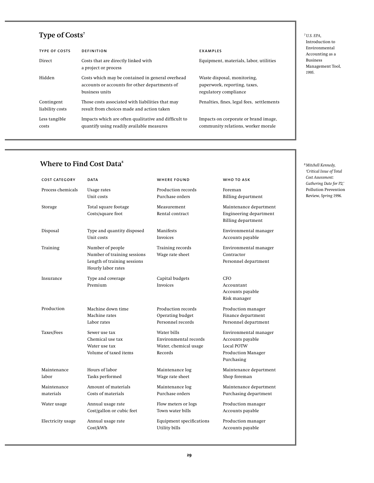# **Type of Costs<sup>7</sup>**

| <b>TYPE OF COSTS</b>          | <b>DEFINITION</b>                                                                                                   | <b>EXAMPLES</b>                                                                      |
|-------------------------------|---------------------------------------------------------------------------------------------------------------------|--------------------------------------------------------------------------------------|
| Direct                        | Costs that are directly linked with<br>a project or process                                                         | Equipment, materials, labor, utilities                                               |
| Hidden                        | Costs which may be contained in general overhead<br>accounts or accounts for other departments of<br>business units | Waste disposal, monitoring,<br>paperwork, reporting, taxes,<br>regulatory compliance |
| Contingent<br>liability costs | Those costs associated with liabilities that may<br>result from choices made and action taken                       | Penalties, fines, legal fees, settlements                                            |
| Less tangible<br>costs        | Impacts which are often qualitative and difficult to<br>quantify using readily available measures                   | Impacts on corporate or brand image,<br>community relations, worker morale           |

# **Where to Find Cost Data8**

| <b>COST CATEGORY</b>     | <b>DATA</b>                                                                                          | <b>WHERE FOUND</b>                                                       | WHO TO ASK                                                                                  |
|--------------------------|------------------------------------------------------------------------------------------------------|--------------------------------------------------------------------------|---------------------------------------------------------------------------------------------|
| Process chemicals        | Usage rates                                                                                          | Production records                                                       | Foreman                                                                                     |
|                          | Unit costs                                                                                           | Purchase orders                                                          | Billing department                                                                          |
| Storage                  | Total square footage<br>Costs/square foot                                                            | Measurement<br>Rental contract                                           | Maintenance department<br>Engineering department<br><b>Billing department</b>               |
| Disposal                 | Type and quantity disposed                                                                           | Manifests                                                                | Environmental manager                                                                       |
|                          | Unit costs                                                                                           | Invoices                                                                 | Accounts payable                                                                            |
| Training                 | Number of people<br>Number of training sessions<br>Length of training sessions<br>Hourly labor rates | Training records<br>Wage rate sheet                                      | Environmental manager<br>Contractor<br>Personnel department                                 |
| Insurance                | Type and coverage<br>Premium                                                                         | Capital budgets<br><b>Invoices</b>                                       | <b>CFO</b><br>Accountant<br>Accounts payable<br>Risk manager                                |
| Production               | Machine down time                                                                                    | Production records                                                       | Production manager                                                                          |
|                          | Machine rates                                                                                        | Operating budget                                                         | Finance department                                                                          |
|                          | Labor rates                                                                                          | Personnel records                                                        | Personnel department                                                                        |
| Taxes/Fees               | Sewer use tax<br>Chemical use tax<br>Water use tax<br>Volume of taxed items                          | Water bills<br>Environmental records<br>Water, chemical usage<br>Records | Environmental manager<br>Accounts payable<br>Local POTW<br>Production Manager<br>Purchasing |
| Maintenance              | Hours of labor                                                                                       | Maintenance log                                                          | Maintenance department                                                                      |
| labor                    | Tasks performed                                                                                      | Wage rate sheet                                                          | Shop foreman                                                                                |
| Maintenance              | Amount of materials                                                                                  | Maintenance log                                                          | Maintenance department                                                                      |
| materials                | Costs of materials                                                                                   | Purchase orders                                                          | Purchasing department                                                                       |
| Water usage              | Annual usage rate                                                                                    | Flow meters or logs                                                      | Production manager                                                                          |
|                          | Cost/gallon or cubic feet                                                                            | Town water bills                                                         | Accounts payable                                                                            |
| <b>Electricity</b> usage | Annual usage rate                                                                                    | <b>Equipment specifications</b>                                          | Production manager                                                                          |
|                          | Cost/kWh                                                                                             | Utility bills                                                            | Accounts payable                                                                            |

# *7 U.S. EPA,*  Introduction to Environmental Accounting as a Business Management Tool,

*1995.*

*8Mitchell Kennedy, 'Critical Issue of Total Cost Assessment: Gathering Date for P2,'* Pollution Prevention Review, *Spring 1996.*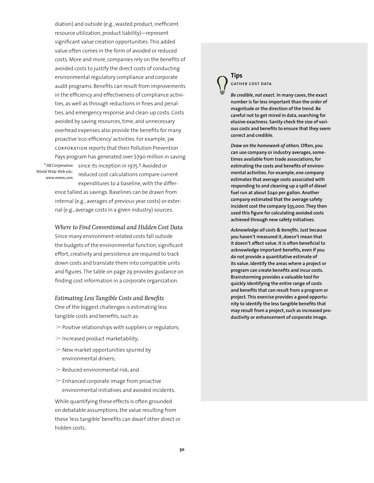diation) and outside (e.g., wasted product, inefficient resource utilization, product liability)—represent significant value creation opportunities. This added value often comes in the form of avoided or reduced costs. More and more, companies rely on the benefits of avoided costs to justify the direct costs of conducting environmental regulatory compliance and corporate audit programs. Benefits can result from improvements in the efficiency and effectiveness of compliance activities, as well as through reductions in fines and penalties, and emergency response and clean-up costs. Costs avoided by saving resources, time, and unnecessary overhead expenses also provide the benefits for many proactive 'eco-efficiency' activities. For example, 3m corporation reports that their Pollution Prevention Pays program has generated over \$790 million in saving since its inception in 1975.<sup>9</sup> Avoided or

*9 3M Corporation World Wide Web site: www.mmm.com*

reduced cost calculations compare current expenditures to a baseline, with the differ-

ence tallied as savings. Baselines can be drawn from internal (e.g., averages of previous year costs) or external (e.g., average costs in a given industry) sources.

# *Where to Find Conventional and Hidden Cost Data*

Since many environment-related costs fall outside the budgets of the environmental function, significant effort, creativity and persistence are required to track down costs and translate them into compatible units and figures. The table on page 29 provides guidance on finding cost information in a corporate organization.

# *Estimating Less Tangible Costs and Benefits*

One of the biggest challenges is estimating less tangible costs and benefits, such as:

- $>$  Positive relationships with suppliers or regulators;
- $>$  Increased product marketability;
- $>$  New market opportunities spurred by environmental drivers;
- $>$  Reduced environmental risk; and
- $\geq$  Enhanced corporate image from proactive environmental initiatives and avoided incidents.

While quantifying these effects is often grounded on debatable assumptions, the value resulting from these 'less tangible' benefits can dwarf other direct or hidden costs.

# **Tips**  gather cost data

*Be credible, not exact.* **In many cases, the exact number is far less important than the order of magnitude or the direction of the trend. Be careful not to get mired in data, searching for elusive exactness. Sanity check the size of various costs and benefits to ensure that they seem correct and credible.**

*Draw on the homework of others.* **Often, you can use company or industry averages, sometimes available from trade associations, for estimating the costs and benefits of environmental activities. For example, one company estimates that average costs associated with responding to and cleaning up a spill of diesel fuel run at about \$240 per gallon. Another company estimated that the average safety incident cost the company \$35,000. They then used this figure for calculating avoided costs achieved through new safety initiatives.**

*Acknowledge all costs & benefits.* **Just because you haven't measured it, doesn't mean that it doesn't affect value. It is often beneficial to acknowledge important benefits, even if you do not provide a quantitative estimate of its value. Identify the areas where a project or program can create benefits and incur costs. Brainstorming provides a valuable tool for quickly identifying the entire range of costs and benefits that can result from a program or project. This exercise provides a good opportunity to identify the less tangible benefits that may result from a project, such as increased productivity or enhancement of corporate image.**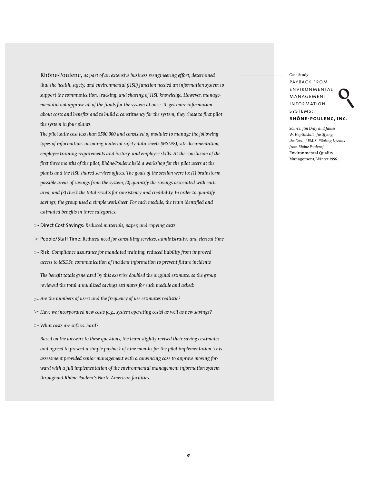Rhône-Poulenc, *as part of an extensive business reengineering effort, determined that the health, safety, and environmental (HSE) function needed an information system to support the communication, tracking, and sharing of HSE knowledge. However, management did not approve all of the funds for the system at once. To get more information about costs and benefits and to build a constituency for the system, they chose to first pilot the system in four plants.* 

*The pilot suite cost less than \$500,000 and consisted of modules to manage the following types of information: incoming material safety data sheets (MSDSs), site documentation, employee training requirements and history, and employee skills. At the conclusion of the first three months of the pilot, Rhône-Poulenc held a workshop for the pilot users at the plants and the HSE shared services offices. The goals of the session were to: (1) brainstorm possible areas of savings from the system; (2) quantify the savings associated with each area; and (3) check the total results for consistency and credibility. In order to quantify savings, the group used a simple worksheet. For each module, the team identified and estimated benefits in three categories:*

- Direct Cost Savings: *Reduced materials, paper, and copying costs*
- People/Staff Time: *Reduced need for consulting services, administrative and clerical time*
- Risk: *Compliance assurance for mandated training, reduced liability from improved access to MSDSs, communication of incident information to prevent future incidents*

*The benefit totals generated by this exercise doubled the original estimate, so the group reviewed the total annualized savings estimates for each module and asked:*

- *Are the numbers of users and the frequency of use estimates realistic?*
- *Have we incorporated new costs (e.g., system operating costs) as well as new savings?*
- *What costs are soft vs. hard?*

*Based on the answers to these questions, the team slightly revised their savings estimates and agreed to present a simple payback of nine months for the pilot implementation. This assessment provided senior management with a convincing case to approve moving forward with a full implementation of the environmental management information system throughout Rhône-Poulenc's North American facilities.*

# Case Study payback from environmental **MANAGEMENT INFORMATION** systems:

**rhône-poulenc, inc.**

*Source: Jim Dray and James W. Heptinstall, 'Justifying the Cost of EMIS: Piloting Lessons from Rhône-Poulenc,'* Environmental Quality Management*, Winter 1996.*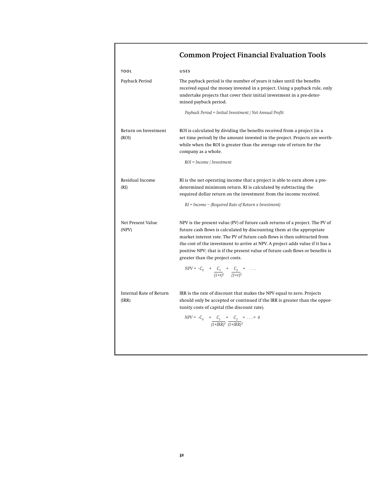| <b>TOOL</b>                      | USES                                                                                                                                                                                                                                                                                                                                                                                                                                      |
|----------------------------------|-------------------------------------------------------------------------------------------------------------------------------------------------------------------------------------------------------------------------------------------------------------------------------------------------------------------------------------------------------------------------------------------------------------------------------------------|
| Payback Period                   | The payback period is the number of years it takes until the benefits<br>received equal the money invested in a project. Using a payback rule, only<br>undertake projects that cover their initial investment in a pre-deter-<br>mined payback period.                                                                                                                                                                                    |
|                                  | Payback Period = Initial Investment / Net Annual Profit                                                                                                                                                                                                                                                                                                                                                                                   |
| Return on Investment<br>(ROI)    | ROI is calculated by dividing the benefits received from a project (in a<br>set time period) by the amount invested in the project. Projects are worth-<br>while when the ROI is greater than the average rate of return for the<br>company as a whole.                                                                                                                                                                                   |
|                                  | ROI = Income / Investment                                                                                                                                                                                                                                                                                                                                                                                                                 |
| Residual Income<br>(RI)          | RI is the net operating income that a project is able to earn above a pre-<br>determined minimum return. RI is calculated by subtracting the<br>required dollar return on the investment from the income received.                                                                                                                                                                                                                        |
|                                  | $RI = Income - (Required Rate of Return x Investment)$                                                                                                                                                                                                                                                                                                                                                                                    |
| Net Present Value<br>(NPV)       | NPV is the present value (PV) of future cash returns of a project. The PV of<br>future cash flows is calculated by discounting them at the appropriate<br>market interest rate. The PV of future cash flows is then subtracted from<br>the cost of the investment to arrive at NPV. A project adds value if it has a<br>positive NPV; that is if the present value of future cash flows or benefits is<br>greater than the project costs. |
|                                  | $NPV = -C_0$ + $\frac{C_1}{(1+r)^1}$ + $\frac{C_2}{(1+r)^2}$ +                                                                                                                                                                                                                                                                                                                                                                            |
| Internal Rate of Return<br>(IRR) | IRR is the rate of discount that makes the NPV equal to zero. Projects<br>should only be accepted or continued if the IRR is greater than the oppor-<br>tunity costs of capital (the discount rate).<br>NPV = $-C_0$ + $C_1$ + $C_2$ +  = 0<br>(1+IRR) <sup>1</sup> (1+IRR) <sup>2</sup>                                                                                                                                                  |
|                                  |                                                                                                                                                                                                                                                                                                                                                                                                                                           |

# **Common Project Financial Evaluation Tools**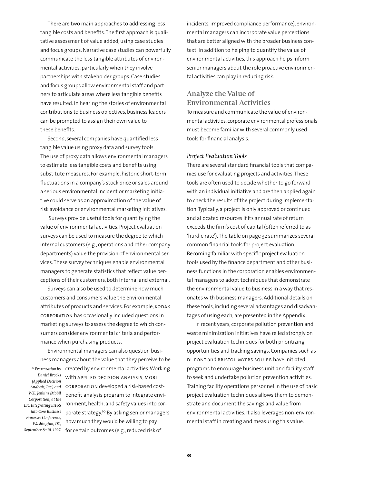There are two main approaches to addressing less tangible costs and benefits. The first approach is qualitative assessment of value added, using case studies and focus groups. Narrative case studies can powerfully communicate the less tangible attributes of environmental activities, particularly when they involve partnerships with stakeholder groups. Case studies and focus groups allow environmental staff and partners to articulate areas where less tangible benefits have resulted. In hearing the stories of environmental contributions to business objectives, business leaders can be prompted to assign their own value to these benefits.

Second, several companies have quantified less tangible value using proxy data and survey tools. The use of proxy data allows environmental managers to estimate less tangible costs and benefits using substitute measures. For example, historic short-term fluctuations in a company's stock price or sales around a serious environmental incident or marketing initiative could serve as an approximation of the value of risk avoidance or environmental marketing initiatives.

Surveys provide useful tools for quantifying the value of environmental activities. Project evaluation surveys can be used to measure the degree to which internal customers (e.g., operations and other company departments) value the provision of environmental services. These survey techniques enable environmental managers to generate statistics that reflect value perceptions of their customers, both internal and external.

Surveys can also be used to determine how much customers and consumers value the environmental attributes of products and services. For example, KODAK corporation has occasionally included questions in marketing surveys to assess the degree to which consumers consider environmental criteria and performance when purchasing products.

Environmental managers can also question business managers about the value that they perceive to be

*Daniel Brooks (Applied Decision W.E. Jenkins (Mobil Corporation) at the into Core Business Processes Conference, Washington, DC,*

<sup>10</sup> Presentation by created by environmental activities. Working with applied decision analysis, MOBIL Analysis, Inc.) and CORPORATION developed a risk-based costbenefit analysis program to integrate envi-IBC Integrating EH&S ronment, health, and safety values into corporate strategy.10 By asking senior managers how much they would be willing to pay *September 8-10, 1997.* for certain outcomes (e.g., reduced risk of

incidents, improved compliance performance), environmental managers can incorporate value perceptions that are better aligned with the broader business context. In addition to helping to quantify the value of environmental activities, this approach helps inform senior managers about the role proactive environmental activities can play in reducing risk.

# **Analyze the Value of Environmental Activities**

To measure and communicate the value of environmental activities, corporate environmental professionals must become familiar with several commonly used tools for financial analysis.

# *Project Evaluation Tools*

There are several standard financial tools that companies use for evaluating projects and activities. These tools are often used to decide whether to go forward with an individual initiative and are then applied again to check the results of the project during implementation. Typically, a project is only approved or continued and allocated resources if its annual rate of return exceeds the firm's cost of capital (often referred to as 'hurdle rate'). The table on page 32 summarizes several common financial tools for project evaluation. Becoming familiar with specific project evaluation tools used by the finance department and other business functions in the corporation enables environmental managers to adopt techniques that demonstrate the environmental value to business in a way that resonates with business managers. Additional details on these tools, including several advantages and disadvantages of using each, are presented in the Appendix .

In recent years, corporate pollution prevention and waste minimization initiatives have relied strongly on project evaluation techniques for both prioritizing opportunities and tracking savings. Companies such as dupont and bristol-myers squibb have initiated programs to encourage business unit and facility staff to seek and undertake pollution prevention activities. Training facility operations personnel in the use of basic project evaluation techniques allows them to demonstrate and document the savings and value from environmental activities. It also leverages non-environmental staff in creating and measuring this value.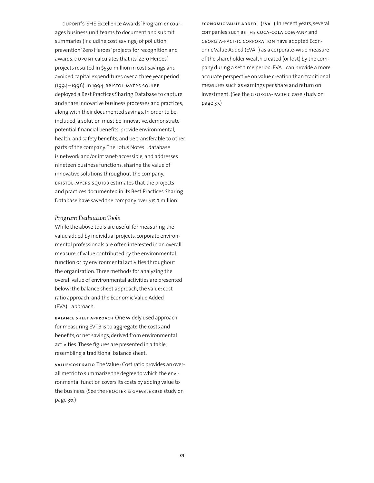dupont's 'SHE Excellence Awards' Program encourages business unit teams to document and submit summaries (including cost savings) of pollution prevention 'Zero Heroes' projects for recognition and awards. DUPONT calculates that its 'Zero Heroes' projects resulted in \$550 million in cost savings and avoided capital expenditures over a three year period (1994–1996). In 1994, bristol-myers squibb deployed a Best Practices Sharing Database to capture and share innovative business processes and practices, along with their documented savings. In order to be included, a solution must be innovative, demonstrate potential financial benefits, provide environmental, health, and safety benefits, and be transferable to other parts of the company. The Lotus Notes<sup>®</sup> database is network and/or intranet-accessible, and addresses nineteen business functions, sharing the value of innovative solutions throughout the company. bristol-myers squibb estimates that the projects and practices documented in its Best Practices Sharing Database have saved the company over \$15.7 million.

# *Program Evaluation Tools*

While the above tools are useful for measuring the value added by individual projects, corporate environmental professionals are often interested in an overall measure of value contributed by the environmental function or by environmental activities throughout the organization. Three methods for analyzing the overall value of environmental activities are presented below: the balance sheet approach, the value: cost ratio approach, and the Economic Value Added (EVA)<sup>®</sup> approach.

balance sheet approach One widely used approach for measuring EVTB is to aggregate the costs and benefits, or net savings, derived from environmental activities. These figures are presented in a table, resembling a traditional balance sheet.

value:cost ratio The Value : Cost ratio provides an overall metric to summarize the degree to which the environmental function covers its costs by adding value to the business. (See the PROCTER & GAMBLE case study on page 36.)

 $\epsilon$ сомоміс value аddеd $^\circledR$  (eva $^\circledR)$  In recent years, several companies such as the coca-cola company and georgia-pacific corporation have adopted Economic Value Added (EVA®) as a corporate-wide measure of the shareholder wealth created (or lost) by the company during a set time period. EVA® can provide a more accurate perspective on value creation than traditional measures such as earnings per share and return on investment. (See the GEORGIA-PACIFIC case study on page 37.)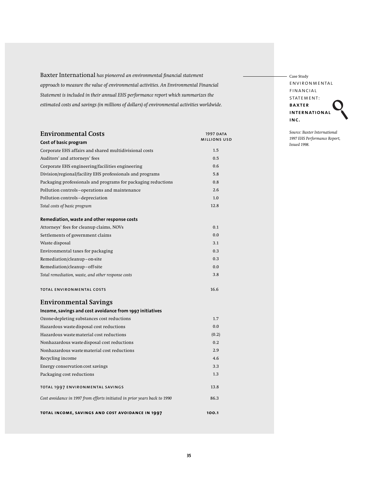Baxter International *has pioneered an environmental financial statement approach to measure the value of environmental activities. An Environmental Financial Statement is included in their annual EHS performance report which summarizes the estimated costs and savings (in millions of dollars) of environmental activities worldwide.*

| <b>Environmental Costs</b>                                                | <b>1997 DATA</b>    |  |
|---------------------------------------------------------------------------|---------------------|--|
| Cost of basic program                                                     | <b>MILLIONS USD</b> |  |
| Corporate EHS affairs and shared multidivisional costs                    | 1.5                 |  |
| Auditors' and attorneys' fees                                             | 0.5                 |  |
| Corporate EHS engineering/facilities engineering                          | 0.6                 |  |
| Division/regional/facility EHS professionals and programs                 | 5.8                 |  |
| Packaging professionals and programs for packaging reductions             | 0.8                 |  |
| Pollution controls-operations and maintenance                             | 2.6                 |  |
| Pollution controls-depreciation                                           | 1.0                 |  |
| Total costs of basic program                                              | 12.8                |  |
| Remediation, waste and other response costs                               |                     |  |
| Attorneys' fees for cleanup claims, NOVs                                  | 0.1                 |  |
| Settlements of government claims                                          | 0.0                 |  |
| Waste disposal                                                            | 3.1                 |  |
| Environmental taxes for packaging                                         | 0.3                 |  |
| Remediation/cleanup-on-site                                               | 0.3                 |  |
| Remediation/cleanup-off-site                                              | 0.0                 |  |
| Total remediation, waste, and other response costs                        | 3.8                 |  |
| <b>TOTAL ENVIRONMENTAL COSTS</b>                                          | 16.6                |  |
| <b>Environmental Savings</b>                                              |                     |  |
| Income, savings and cost avoidance from 1997 initiatives                  |                     |  |
| Ozone-depleting substances cost reductions                                | 1.7                 |  |
| Hazardous waste disposal cost reductions                                  | 0.0                 |  |
| Hazardous waste material cost reductions                                  | (0.2)               |  |
| Nonhazardous waste disposal cost reductions                               | 0.2                 |  |
| Nonhazardous waste material cost reductions                               | 2.9                 |  |
| Recycling income                                                          | 4.6                 |  |
| Energy conservation cost savings                                          | 3.3                 |  |
| Packaging cost reductions                                                 | 1.3                 |  |
| TOTAL 1997 ENVIRONMENTAL SAVINGS                                          | 13.8                |  |
| Cost avoidance in 1997 from efforts initiated in prior years back to 1990 | 86.3                |  |
| TOTAL INCOME, SAVINGS AND COST AVOIDANCE IN 1997                          | 100.1               |  |

Case Study environmental financial STATEMENT: **baxter international inc.**

*Source: Baxter International 1997 EHS Performance Report, Issued 1998.*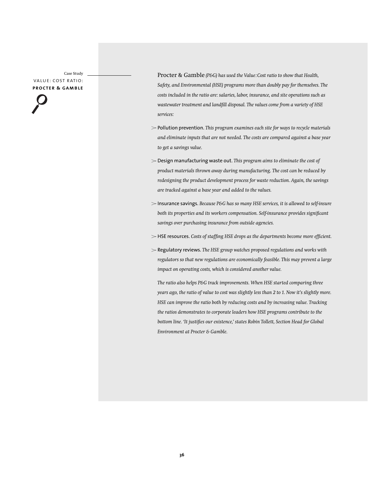Case Study

# value: cost ratio: **procter & gamble**

Procter & Gamble *(P&G) has used the Value:Cost ratio to show that Health, Safety, and Environmental (HSE) programs more than doubly pay for themselves. The costs included in the ratio are: salaries, labor, insurance, and site operations such as wastewater treatment and landfill disposal. The values come from a variety of HSE services:*

- Pollution prevention. *This program examines each site for ways to recycle materials and eliminate inputs that are not needed. The costs are compared against a base year to get a savings value.*
- Design manufacturing waste out. *This program aims to eliminate the cost of product materials thrown away during manufacturing. The cost can be reduced by redesigning the product development process for waste reduction. Again, the savings are tracked against a base year and added to the values.*
- Insurance savings. *Because P&G has so many HSE services, it is allowed to self-insure both its properties and its workers compensation. Self-insurance provides significant savings over purchasing insurance from outside agencies.*
- HSE resources. *Costs of staffing HSE drops as the departments become more efficient.*
- Regulatory reviews. *The HSE group watches proposed regulations and works with regulators so that new regulations are economically feasible. This may prevent a large impact on operating costs, which is considered another value.*

*The ratio also helps P&G track improvements. When HSE started comparing three years ago, the ratio of value to cost was slightly less than 2 to 1. Now it's slightly more. HSE can improve the ratio both by reducing costs and by increasing value. Tracking the ratios demonstrates to corporate leaders how HSE programs contribute to the bottom line. 'It justifies our existence,' states Robin Tollett, Section Head for Global Environment at Procter & Gamble.*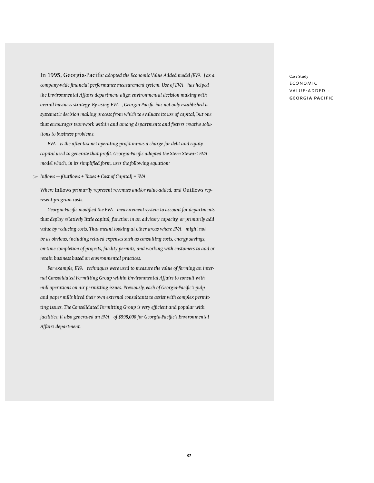In 1995, Georgia-Pacific *adopted the Economic Value Added model (EVA) as a company-wide financial performance measurement system. Use of EVA*<sup>®</sup> has helped *the Environmental Affairs department align environmental decision making with overall business strategy. By using EVA, Georgia-Pacific has not only established a systematic decision making process from which to evaluate its use of capital, but one that encourages teamwork within and among departments and fosters creative solutions to business problems.* 

*EVA is the after-tax net operating profit minus a charge for debt and equity capital used to generate that profit. Georgia-Pacific adopted the Stern Stewart EVA model which, in its simplified form, uses the following equation:*

 $\geq$  Inflows – (Outflows + Taxes + Cost of Capital) = EVA<sup>®</sup>

*Where* Inflows *primarily represent revenues and/or value-added, and* Outflows *represent program costs.* 

*Georgia-Pacific modified the EVA® measurement system to account for departments that deploy relatively little capital, function in an advisory capacity, or primarily add value by reducing costs. That meant looking at other areas where EVA® might not be as obvious, including related expenses such as consulting costs, energy savings, on-time completion of projects, facility permits, and working with customers to add or retain business based on environmental practices.*

For example, EVA® techniques were used to measure the value of forming an inter*nal Consolidated Permitting Group within Environmental Affairs to consult with mill operations on air permitting issues. Previously, each of Georgia-Pacific's pulp and paper mills hired their own external consultants to assist with complex permitting issues. The Consolidated Permitting Group is very efficient and popular with facilities; it also generated an EVA of \$598,000 for Georgia-Pacific's Environmental Affairs department.*

# Case Study economic  $VALU E-ADDE D<sup>®</sup>$ **georgia pacific**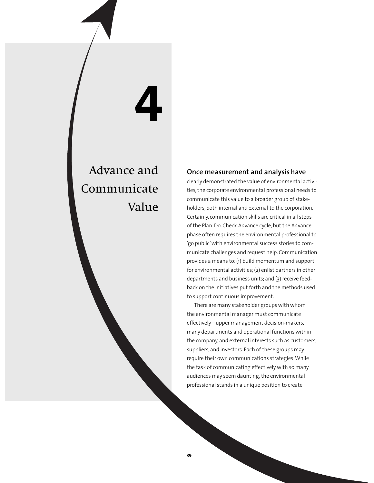# Advance and Communicate Value

**4**

# **Once measurement and analysis have**

clearly demonstrated the value of environmental activities, the corporate environmental professional needs to communicate this value to a broader group of stakeholders, both internal and external to the corporation. Certainly, communication skills are critical in all steps of the Plan-Do-Check-Advance cycle, but the Advance phase often requires the environmental professional to 'go public' with environmental success stories to communicate challenges and request help. Communication provides a means to: (1) build momentum and support for environmental activities; (2) enlist partners in other departments and business units; and (3) receive feedback on the initiatives put forth and the methods used to support continuous improvement.

There are many stakeholder groups with whom the environmental manager must communicate effectively—upper management decision-makers, many departments and operational functions within the company, and external interests such as customers, suppliers, and investors. Each of these groups may require their own communications strategies.While the task of communicating effectively with so many audiences may seem daunting, the environmental professional stands in a unique position to create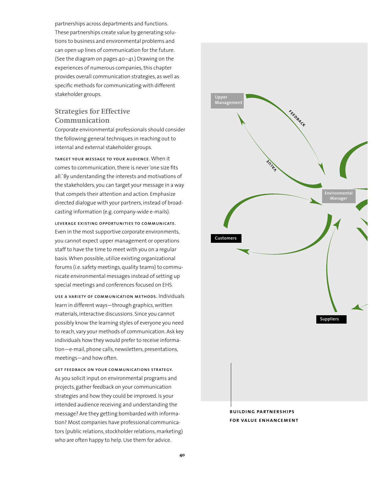partnerships across departments and functions. These partnerships create value by generating solutions to business and environmental problems and can open up lines of communication for the future. (See the diagram on pages 40–41.) Drawing on the experiences of numerous companies, this chapter provides overall communication strategies, as well as specific methods for communicating with different stakeholder groups.

# **Strategies for Effective Communication**

Corporate environmental professionals should consider the following general techniques in reaching out to internal and external stakeholder groups.

target your message to your audience. When it comes to communication, there is never 'one size fits all.' By understanding the interests and motivations of the stakeholders, you can target your message in a way that compels their attention and action. Emphasize directed dialogue with your partners, instead of broadcasting information (e.g. company-wide e-mails).

leverage existing opportunities to communicate. Even in the most supportive corporate environments, you cannot expect upper management or operations staff to have the time to meet with you on a regular basis.When possible, utilize existing organizational forums (i.e. safety meetings, quality teams) to communicate environmental messages instead of setting up special meetings and conferences focused on EHS.

use a variety of communication methods. Individuals learn in different ways—through graphics, written materials, interactive discussions. Since you cannot possibly know the learning styles of everyone you need to reach, vary your methods of communication. Ask key individuals how they would prefer to receive information—e-mail, phone calls, newsletters, presentations, meetings—and how often.

get feedback on your communications strategy. As you solicit input on environmental programs and projects, gather feedback on your communication strategies and how they could be improved. Is your intended audience receiving and understanding the message? Are they getting bombarded with information? Most companies have professional communicators (public relations, stockholder relations, marketing) who are often happy to help. Use them for advice.

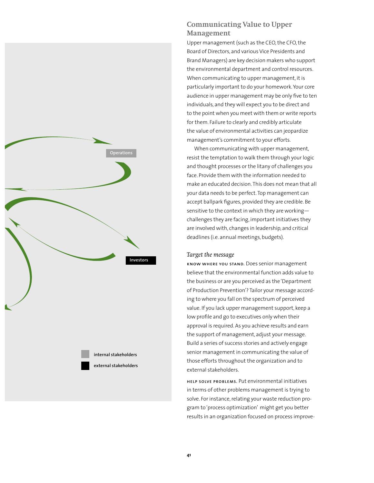

# **Communicating Value to Upper Management**

Upper management (such as the CEO, the CFO, the Board of Directors, and various Vice Presidents and Brand Managers) are key decision makers who support the environmental department and control resources. When communicating to upper management, it is particularly important to do your homework. Your core audience in upper management may be only five to ten individuals, and they will expect you to be direct and to the point when you meet with them or write reports for them. Failure to clearly and credibly articulate the value of environmental activities can jeopardize management's commitment to your efforts.

When communicating with upper management, resist the temptation to walk them through your logic and thought processes or the litany of challenges you face. Provide them with the information needed to make an educated decision. This does not mean that all your data needs to be perfect. Top management can accept ballpark figures, provided they are credible. Be sensitive to the context in which they are working challenges they are facing, important initiatives they are involved with, changes in leadership, and critical deadlines (i.e. annual meetings, budgets).

# *Target the message*

know where you stand. Does senior management believe that the environmental function adds value to the business or are you perceived as the 'Department of Production Prevention'? Tailor your message according to where you fall on the spectrum of perceived value. If you lack upper management support, keep a low profile and go to executives only when their approval is required. As you achieve results and earn the support of management, adjust your message. Build a series of success stories and actively engage senior management in communicating the value of those efforts throughout the organization and to external stakeholders.

help solve problems. Put environmental initiatives in terms of other problems management is trying to solve. For instance, relating your waste reduction program to 'process optimization' might get you better results in an organization focused on process improve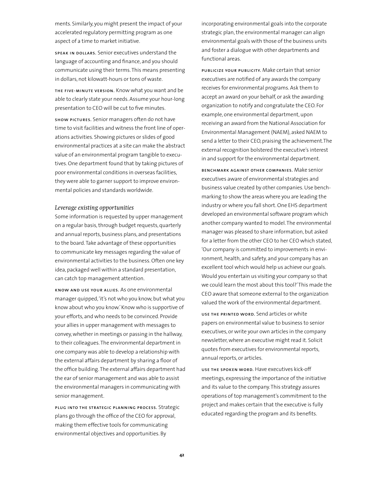ments. Similarly, you might present the impact of your accelerated regulatory permitting program as one aspect of a time to market initiative.

speak in DOLLARS. Senior executives understand the language of accounting and finance, and you should communicate using their terms. This means presenting in dollars, not kilowatt-hours or tons of waste.

the five-minute version. Know what you want and be able to clearly state your needs. Assume your hour-long presentation to CEO will be cut to five minutes.

show pictures. Senior managers often do not have time to visit facilities and witness the front line of operations activities. Showing pictures or slides of good environmental practices at a site can make the abstract value of an environmental program tangible to executives. One department found that by taking pictures of poor environmental conditions in overseas facilities, they were able to garner support to improve environmental policies and standards worldwide.

# *Leverage existing opportunities*

Some information is requested by upper management on a regular basis, through budget requests, quarterly and annual reports, business plans, and presentations to the board. Take advantage of these opportunities to communicate key messages regarding the value of environmental activities to the business. Often one key idea, packaged well within a standard presentation, can catch top management attention.

know and use your allies. As one environmental manager quipped,'it's not who you know, but what you know about who you know.' Know who is supportive of your efforts, and who needs to be convinced. Provide your allies in upper management with messages to convey, whether in meetings or passing in the hallway, to their colleagues. The environmental department in one company was able to develop a relationship with the external affairs department by sharing a floor of the office building. The external affairs department had the ear of senior management and was able to assist the environmental managers in communicating with senior management.

plug into the strategic planning process. Strategic plans go through the office of the CEO for approval, making them effective tools for communicating environmental objectives and opportunities. By

incorporating environmental goals into the corporate strategic plan, the environmental manager can align environmental goals with those of the business units and foster a dialogue with other departments and functional areas.

publicize your publicity. Make certain that senior executives are notified of any awards the company receives for environmental programs. Ask them to accept an award on your behalf, or ask the awarding organization to notify and congratulate the CEO. For example, one environmental department, upon receiving an award from the National Association for Environmental Management (NAEM), asked NAEM to send a letter to their CEO, praising the achievement.The external recognition bolstered the executive's interest in and support for the environmental department.

benchmark against other companies. Make senior executives aware of environmental strategies and business value created by other companies. Use benchmarking to show the areas where you are leading the industry or where you fall short. One EHS department developed an environmental software program which another company wanted to model. The environmental manager was pleased to share information, but asked for a letter from the other CEO to her CEO which stated, 'Our company is committed to improvements in environment, health, and safety, and your company has an excellent tool which would help us achieve our goals. Would you entertain us visiting your company so that we could learn the most about this tool?'This made the CEO aware that someone external to the organization valued the work of the environmental department.

use the printed word. Send articles or white papers on environmental value to business to senior executives, or write your own articles in the company newsletter, where an executive might read it. Solicit quotes from executives for environmental reports, annual reports, or articles.

use the spoken word. Have executives kick-off meetings, expressing the importance of the initiative and its value to the company. This strategy assures operations of top management's commitment to the project and makes certain that the executive is fully educated regarding the program and its benefits.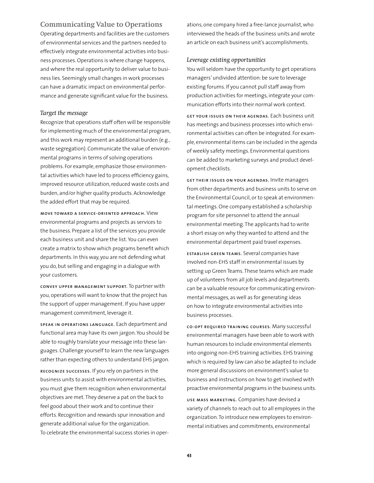# **Communicating Value to Operations**

Operating departments and facilities are the customers of environmental services and the partners needed to effectively integrate environmental activities into business processes. Operations is where change happens, and where the real opportunity to deliver value to business lies. Seemingly small changes in work processes can have a dramatic impact on environmental performance and generate significant value for the business.

# *Target the message*

Recognize that operations staff often will be responsible for implementing much of the environmental program, and this work may represent an additional burden (e.g., waste segregation). Communicate the value of environmental programs in terms of solving operations problems. For example, emphasize those environmental activities which have led to process efficiency gains, improved resource utilization, reduced waste costs and burden, and/or higher quality products. Acknowledge the added effort that may be required.

move toward a service-oriented approach. View environmental programs and projects as services to the business. Prepare a list of the services you provide each business unit and share the list. You can even create a matrix to show which programs benefit which departments. In this way, you are not defending what you do, but selling and engaging in a dialogue with your customers.

convey upper management support. To partner with you, operations will want to know that the project has the support of upper management. If you have upper management commitment, leverage it.

speak in operations language. Each department and functional area may have its own jargon. You should be able to roughly translate your message into these languages. Challenge yourself to learn the new languages rather than expecting others to understand EHS jargon.

recognize successes. If you rely on partners in the business units to assist with environmental activities, you must give them recognition when environmental objectives are met. They deserve a pat on the back to feel good about their work and to continue their efforts. Recognition and rewards spur innovation and generate additional value for the organization. To celebrate the environmental success stories in operations, one company hired a free-lance journalist, who interviewed the heads of the business units and wrote an article on each business unit's accomplishments.

# *Leverage existing opportunities*

You will seldom have the opportunity to get operations managers' undivided attention: be sure to leverage existing forums. If you cannot pull staff away from production activities for meetings, integrate your communication efforts into their normal work context.

get your issues on their agendas. Each business unit has meetings and business processes into which environmental activities can often be integrated. For example, environmental items can be included in the agenda of weekly safety meetings. Environmental questions can be added to marketing surveys and product development checklists.

get their issues on your agendas. Invite managers from other departments and business units to serve on the Environmental Council, or to speak at environmental meetings. One company established a scholarship program for site personnel to attend the annual environmental meeting. The applicants had to write a short essay on why they wanted to attend and the environmental department paid travel expenses.

establish green teams. Several companies have involved non-EHS staff in environmental issues by setting up Green Teams. These teams which are made up of volunteers from all job levels and departments can be a valuable resource for communicating environmental messages, as well as for generating ideas on how to integrate environmental activities into business processes.

co-opt required training courses. Many successful environmental managers have been able to work with human resources to include environmental elements into ongoing non-EHS training activities. EHS training which is required by law can also be adapted to include more general discussions on environment's value to business and instructions on how to get involved with proactive environmental programs in the business units.

use mass marketing. Companies have devised a variety of channels to reach out to all employees in the organization. To introduce new employees to environmental initiatives and commitments, environmental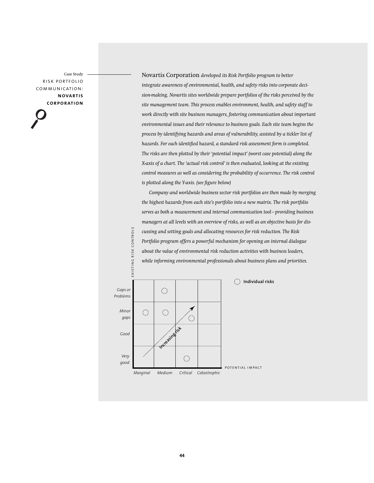Case Study risk portfolio communication: **novartis corporation**

Novartis Corporation *developed its Risk Portfolio program to better integrate awareness of environmental, health, and safety risks into corporate decision-making. Novartis sites worldwide prepare portfolios of the risks perceived by the site management team. This process enables environment, health, and safety staff to work directly with site business managers, fostering communication about important environmental issues and their relevance to business goals. Each site team begins the process by identifying hazards and areas of vulnerability, assisted by a tickler list of hazards. For each identified hazard, a standard risk assessment form is completed. The risks are then plotted by their 'potential impact' (worst case potential) along the X-axis of a chart. The 'actual risk control' is then evaluated, looking at the existing control measures as well as considering the probability of occurrence. The risk control is plotted along the Y-axis. (see figure below)*

*Company and worldwide business sector risk portfolios are then made by merging the highest hazards from each site's portfolio into a new matrix. The risk portfolio serves as both a measurement and internal communication tool— providing business managers at all levels with an overview of risks, as well as an objective basis for discussing and setting goals and allocating resources for risk reduction. The Risk Portfolio program offers a powerful mechanism for opening an internal dialogue about the value of environmental risk reduction activities with business leaders, while informing environmental professionals about business plans and priorities.*

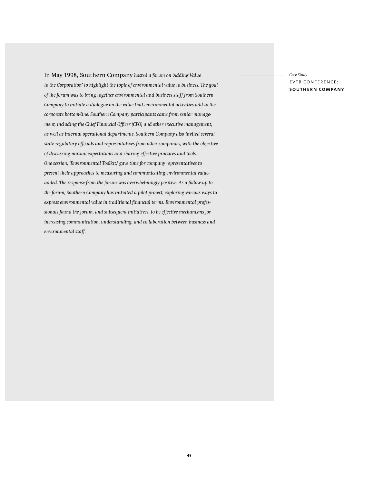In May 1998, Southern Company *hosted a forum on 'Adding Value to the Corporation' to highlight the topic of environmental value to business. The goal of the forum was to bring together environmental and business staff from Southern Company to initiate a dialogue on the value that environmental activities add to the corporate bottom-line. Southern Company participants came from senior management, including the Chief Financial Officer (CFO) and other executive management, as well as internal operational departments. Southern Company also invited several state regulatory officials and representatives from other companies, with the objective of discussing mutual expectations and sharing effective practices and tools. One session, 'Environmental Toolkit,' gave time for company representatives to present their approaches to measuring and communicating environmental valueadded. The response from the forum was overwhelmingly positive. As a follow-up to the forum, Southern Company has initiated a pilot project, exploring various ways to express environmental value in traditional financial terms. Environmental professionals found the forum, and subsequent initiatives, to be effective mechanisms for increasing communication, understanding, and collaboration between business and environmental staff.*

# *Case Study*  evtb conference: **southern company**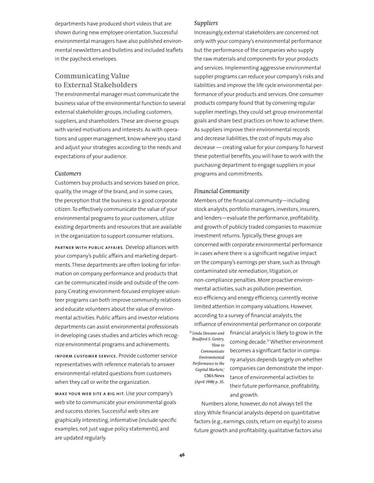departments have produced short videos that are shown during new employee orientation. Successful environmental managers have also published environmental newsletters and bulletins and included leaflets in the paycheck envelopes.

# **Communicating Value to External Stakeholders**

The environmental manager must communicate the business value of the environmental function to several external stakeholder groups, including customers, suppliers, and shareholders. These are diverse groups with varied motivations and interests. As with operations and upper management, know where you stand and adjust your strategies according to the needs and expectations of your audience.

# *Customers*

Customers buy products and services based on price, quality, the image of the brand, and in some cases, the perception that the business is a good corporate citizen. To effectively communicate the value of your environmental programs to your customers, utilize existing departments and resources that are available in the organization to support consumer relations.

partner with public affairs. Develop alliances with your company's public affairs and marketing departments. These departments are often looking for information on company performance and products that can be communicated inside and outside of the company. Creating environment-focused employee volunteer programs can both improve community relations and educate volunteers about the value of environmental activities. Public affairs and investor relations departments can assist environmental professionals in developing cases studies and articles which recognize environmental programs and achievements.

inform customer service. Provide customer service representatives with reference materials to answer environmental-related questions from customers when they call or write the organization.

make your web site a big hit. Use your company's web site to communicate your environmental goals and success stories. Successful web sites are graphically interesting, informative (include specific examples, not just vague policy statements), and are updated regularly.

# *Suppliers*

Increasingly, external stakeholders are concerned not only with your company's environmental performance but the performance of the companies who supply the raw materials and components for your products and services. Implementing aggressive environmental supplier programs can reduce your company's risks and liabilities and improve the life cycle environmental performance of your products and services. One consumer products company found that by convening regular supplier meetings, they could set group environmental goals and share best practices on how to achieve them. As suppliers improve their environmental records and decrease liabilities, the cost of inputs may also decrease — creating value for your company. To harvest these potential benefits, you will have to work with the purchasing department to engage suppliers in your programs and commitments.

# *Financial Community*

Members of the financial community—including stock analysts, portfolio managers, investors, insurers, and lenders—evaluate the performance, profitability, and growth of publicly traded companies to maximize investment returns. Typically, these groups are concerned with corporate environmental performance in cases where there is a significant negative impact on the company's earnings per share, such as through contaminated site remediation, litigation, or non-compliance penalties. More proactive environmental activities, such as pollution prevention, eco-efficiency and energy efficiency, currently receive limited attention in company valuations. However, according to a survey of financial analysts, the influence of environmental performance on corporate

*Bradford S. Gentry, 'How to Performance to the* CMA News *(April 1998) p. 35.* 

<sup>11</sup> *Linda Descano and* financial analysis is likely to grow in the coming decade.11Whether environment becomes a significant factor in compa-*Communicate* <sup>Environmental</sup> ny analysis depends largely on whether *Capital Markets,'* COMpanies can demonstrate the importance of environmental activities to their future performance, profitability, and growth.

Numbers alone, however, do not always tell the story.While financial analysts depend on quantitative factors (e.g., earnings, costs, return on equity) to assess future growth and profitability, qualitative factors also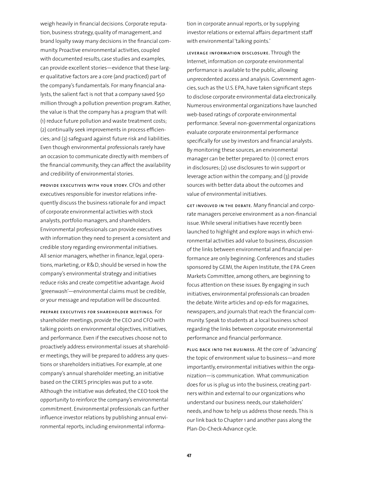weigh heavily in financial decisions. Corporate reputation, business strategy, quality of management, and brand loyalty sway many decisions in the financial community. Proactive environmental activities, coupled with documented results, case studies and examples, can provide excellent stories—evidence that these larger qualitative factors are a core (and practiced) part of the company's fundamentals. For many financial analysts, the salient fact is not that a company saved \$50 million through a pollution prevention program. Rather, the value is that the company has a program that will: (1) reduce future pollution and waste treatment costs; (2) continually seek improvements in process efficiencies; and (3) safeguard against future risk and liabilities. Even though environmental professionals rarely have an occasion to communicate directly with members of the financial community, they can affect the availability and credibility of environmental stories.

provide executives with your story. CFOs and other executives responsible for investor relations infrequently discuss the business rationale for and impact of corporate environmental activities with stock analysts, portfolio managers, and shareholders. Environmental professionals can provide executives with information they need to present a consistent and credible story regarding environmental initiatives. All senior managers, whether in finance, legal, operations, marketing, or R&D, should be versed in how the company's environmental strategy and initiatives reduce risks and create competitive advantage. Avoid 'greenwash'—environmental claims must be credible, or your message and reputation will be discounted.

prepare executives for shareholder meetings. For shareholder meetings, provide the CEO and CFO with talking points on environmental objectives, initiatives, and performance. Even if the executives choose not to proactively address environmental issues at shareholder meetings, they will be prepared to address any questions or shareholders initiatives. For example, at one company's annual shareholder meeting, an initiative based on the CERES principles was put to a vote. Although the initiative was defeated, the CEO took the opportunity to reinforce the company's environmental commitment. Environmental professionals can further influence investor relations by publishing annual environmental reports, including environmental information in corporate annual reports, or by supplying investor relations or external affairs department staff with environmental 'talking points.'

leverage information disclosure. Through the Internet, information on corporate environmental performance is available to the public, allowing unprecedented access and analysis. Government agencies, such as the U.S. EPA, have taken significant steps to disclose corporate environmental data electronically. Numerous environmental organizations have launched web-based ratings of corporate environmental performance. Several non-governmental organizations evaluate corporate environmental performance specifically for use by investors and financial analysts. By monitoring these sources, an environmental manager can be better prepared to: (1) correct errors in disclosures; (2) use disclosures to win support or leverage action within the company; and (3) provide sources with better data about the outcomes and value of environmental initiatives.

get involved in the debate. Many financial and corporate managers perceive environment as a non-financial issue.While several initiatives have recently been launched to highlight and explore ways in which environmental activities add value to business, discussion of the links between environmental and financial performance are only beginning. Conferences and studies sponsored by GEMI, the Aspen Institute, the EPA Green Markets Committee, among others, are beginning to focus attention on these issues. By engaging in such initiatives, environmental professionals can broaden the debate.Write articles and op-eds for magazines, newspapers, and journals that reach the financial community. Speak to students at a local business school regarding the links between corporate environmental performance and financial performance.

plug back into the business. At the core of 'advancing' the topic of environment value to business—and more importantly, environmental initiatives within the organization—is communication. What communication does for us is plug us into the business, creating partners within and external to our organizations who understand our business needs, our stakeholders' needs, and how to help us address those needs. This is our link back to Chapter 1 and another pass along the Plan-Do-Check-Advance cycle.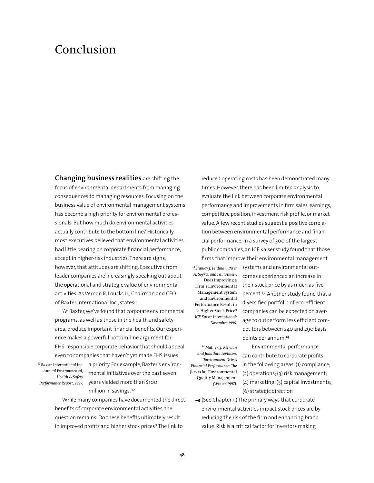# Conclusion

**Changing business realities** are shifting the focus of environmental departments from managing consequences to managing resources. Focusing on the business value of environmental management systems has become a high priority for environmental professionals. But how much do environmental activities actually contribute to the bottom line? Historically, most executives believed that environmental activities had little bearing on corporate financial performance, except in higher-risk industries. There are signs, however, that attitudes are shifting. Executives from leader companies are increasingly speaking out about the operational and strategic value of environmental activities. As Vernon R. Loucks Jr., Chairman and CEO of Baxter International Inc., states:

'At Baxter, we've found that corporate environmental programs, as well as those in the health and safety area, produce important financial benefits. Our experience makes a powerful bottom-line argument for EHS-responsible corporate behavior that should appeal even to companies that haven't yet made EHS issues

*12 Baxter International Inc. Annual Environmental, Health & Safety*

a priority. For example, Baxter's environmental initiatives over the past seven Performance Report, 1997. years yielded more than \$100 million in savings.'12

> While many companies have documented the direct benefits of corporate environmental activities, the question remains: Do these benefits ultimately result in improved profits and higher stock prices? The link to

reduced operating costs has been demonstrated many times. However, there has been limited analysis to evaluate the link between corporate environmental performance and improvements in firm sales, earnings, competitive position, investment risk profile, or market value. A few recent studies suggest a positive correlation between environmental performance and financial performance. In a survey of 300 of the largest public companies, an ICF Kaiser study found that those firms that improve their environmental management

*13 Stanley J. Feldman, Peter A. Soyka, and Paul Ameer,* Does Improving a Firm's Environmental Management System and Environmental Performance Result in a Higher Stock Price? *ICF Kaiser International: November 1996.*

systems and environmental outcomes experienced an increase in their stock price by as much as five percent.13 Another study found that a diversified portfolio of eco-efficient companies can be expected on average to outperform less efficient competitors between 240 and 290 basis points per annum.14

*<sup>14</sup> Mathew J. Kiernan and Jonathan Levinson, 'Environment Drives Financial Performance: The Jury is In.'* Environmental Quality Management *(Winter 1997).*

Environmental performance can contribute to corporate profits in the following areas: (1) compliance; (2) operations; (3) risk management; (4) marketing; (5) capital investments; (6) strategic direction

 $\prec$  (See Chapter 1.) The primary ways that corporate environmental activities impact stock prices are by reducing the risk of the firm and enhancing brand value. Risk is a critical factor for investors making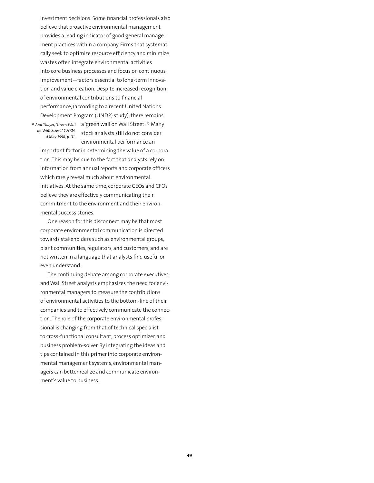investment decisions. Some financial professionals also believe that proactive environmental management provides a leading indicator of good general management practices within a company. Firms that systematically seek to optimize resource efficiency and minimize wastes often integrate environmental activities into core business processes and focus on continuous improvement—factors essential to long-term innovation and value creation. Despite increased recognition of environmental contributions to financial performance, (according to a recent United Nations Development Program (UNDP) study), there remains

<sup>15</sup> Ann Thayer, 'Green Wall a' green wall on Wall Street.'<sup>15</sup> Many *on Wall Street.'* C&EN*, 4 May 1998, p. 31.*

stock analysts still do not consider environmental performance an

important factor in determining the value of a corporation. This may be due to the fact that analysts rely on information from annual reports and corporate officers which rarely reveal much about environmental initiatives. At the same time, corporate CEOs and CFOs believe they are effectively communicating their commitment to the environment and their environmental success stories.

One reason for this disconnect may be that most corporate environmental communication is directed towards stakeholders such as environmental groups, plant communities, regulators, and customers, and are not written in a language that analysts find useful or even understand.

The continuing debate among corporate executives and Wall Street analysts emphasizes the need for environmental managers to measure the contributions of environmental activities to the bottom-line of their companies and to effectively communicate the connection. The role of the corporate environmental professional is changing from that of technical specialist to cross-functional consultant, process optimizer, and business problem-solver. By integrating the ideas and tips contained in this primer into corporate environmental management systems, environmental managers can better realize and communicate environment's value to business.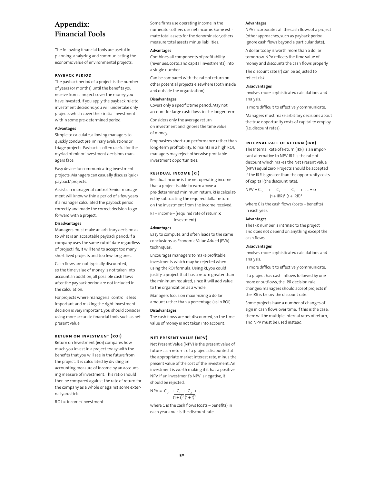# **Appendix: Financial Tools**

The following financial tools are useful in planning, analyzing and communicating the economic value of environmental projects.

# **payback period**

The payback period of a project is the number of years (or months) until the benefits you receive from a project cover the money you have invested. If you apply the payback rule to investment decisions, you will undertake only projects which cover their initial investment within some pre-determined period.

### **Advantages**

Simple to calculate, allowing managers to quickly conduct preliminary evaluations or triage projects. Payback is often useful for the myriad of minor investment decisions managers face.

Easy device for communicating investment projects. Managers can casually discuss 'quick payback' projects.

Assists in managerial control. Senior management will know within a period of a few years if a manager calculated the payback period correctly and made the correct decision to go forward with a project.

### **Disadvantages**

Managers must make an arbitrary decision as to what is an acceptable payback period. If a company uses the same cutoff date regardless of project life, it will tend to accept too many short lived projects and too few long ones.

Cash flows are not typically discounted, so the time value of money is not taken into account. In addition, all possible cash flows after the payback period are not included in the calculation.

For projects where managerial control is less important and making the right investment decision is very important, you should consider using more accurate financial tools such as net present value.

# **return on investment (roi)**

Return on Investment (ROI) compares how much you invest in a project today with the benefits that you will see in the future from the project. It is calculated by dividing an accounting measure of income by an accounting measure of investment. This ratio should then be compared against the rate of return for the company as a whole or against some external yardstick.

ROI = income/investment

Some firms use operating income in the numerator, others use net income. Some estimate total assets for the denominator, others measure total assets minus liabilities.

# **Advantages**

Combines all components of profitability (revenues, costs, and capital investments) into a single number.

Can be compared with the rate of return on other potential projects elsewhere (both inside and outside the organization).

### **Disadvantages**

Covers only a specific time period. May not account for large cash flows in the longer term.

Considers only the average return on investment and ignores the time value of money.

Emphasizes short-run performance rather than long-term profitability. To maintain a high ROI, managers may reject otherwise profitable investment opportunities.

# **residual income (ri)**

Residual Income is the net operating income that a project is able to earn above a pre-determined minimum return. RI is calculated by subtracting the required dollar return on the investment from the income received.

RI = income – (required rate of return **x** investment)

### **Advantages**

Easy to compute, and often leads to the same conclusions as Economic Value Added (EVA) techniques.

Encourages managers to make profitable investments which may be rejected when using the ROI formula. Using RI, you could justify a project that has a return greater than the minimum required, since it will add value to the organization as a whole.

Managers focus on maximizing a dollar amount rather than a percentage (as in ROI).

## **Disadvantages**

The cash flows are not discounted, so the time value of money is not taken into account.

# **net present value (npv)**

Net Present Value (NPV) is the present value of future cash returns of a project, discounted at the appropriate market interest rate, minus the present value of the cost of the investment. An investment is worth making if it has a positive NPV. If an investment's NPV is negative, it should be rejected.

$$
NPV = -C_0 + \frac{C_1 + C_2 + \dots}{(1+r)^1} \frac{C_2 + \dots}{(1+r)^2}
$$

where C is the cash flows (costs – benefits) in each year and r is the discount rate.

### **Advantages**

NPV incorporates all the cash flows of a project (other approaches, such as payback period, ignore cash flows beyond a particular date).

A dollar today is worth more than a dollar tomorrow. NPV reflects the time value of money and discounts the cash flows properly.

The discount rate (r) can be adjusted to reflect risk.

# **Disadvantages**

Involves more sophisticated calculations and analysis.

Is more difficult to effectively communicate.

Managers must make arbitrary decisions about the true opportunity costs of capital to employ (i.e. discount rates).

# **internal rate of return (irr)**

The Internal Rate of Return (IRR) is an important alternative to NPV. IRR is the rate of discount which makes the Net Present Value (NPV) equal zero. Projects should be accepted if the IRR is greater than the opportunity costs of capital (the discount rate).

NPV = C<sub>o</sub> 
$$
\frac{C_1}{(1 + IRR)^1} + \frac{C_2}{(1 + IRR)^2} + \dots = 0
$$

where C is the cash flows (costs – benefits) in each year.

### **Advantages**

The IRR number is intrinsic to the project and does not depend on anything except the cash flows.

### **Disadvantages**

Involves more sophisticated calculations and analysis.

Is more difficult to effectively communicate.

If a project has cash inflows followed by one more or outflows, the IRR decision rule changes: managers should accept projects if the IRR is below the discount rate.

Some projects have a number of changes of sign in cash flows over time. If this is the case, there will be multiple internal rates of return, and NPV must be used instead.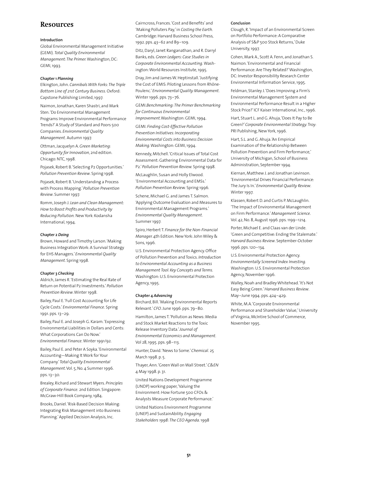# **Resources**

# **Introduction**

Global Environmental Management Initiative (GEMI). *Total Quality Environmental Management:The Primer.*Washington, DC: GEMI, 1993.

## **Chapter 1** *Planning*

Elkington, John. *Cannibals With Forks:The Triple Bottom Line of 21st Century Business.* Oxford: Capstone Publishing Limited, 1997.

Naimon, Jonathan, Karen Shastri, and Mark Sten.'Do Environmental Management Programs Improve Environmental Performance Trends?' A Study of Standard and Poors 500 Companies. *Environmental Quality Management.* Autumn 1997.

Ottman, Jacquelyn A.*Green Marketing: Opportunity for Innovation*, 2nd edition. Chicago: NTC, 1998.

Pojasek, Robert B.'Selecting P2 Opportunities.' *Pollution Prevention Review*. Spring 1998.

Pojasek, Robert B.'Understanding a Process with Process Mapping.'*Pollution Prevention Review*. Summer 1997.

Romm, Joseph J. *Lean and Clean Management: How to Boost Profits and Productivity by Reducing Pollution.* New York: Kodansha International, 1994.

# **Chapter 2** *Doing*

Brown, Howard and Timothy Larson.'Making Business Integration Work: A Survival Strategy for EHS Managers.'*Environmental Quality Management*. Spring 1998.

### **Chapter 3** *Checking*

Aldrich, James R.'Estimating the Real Rate of Return on Potential P2 Investments.'*Pollution Prevention Review*.Winter 1998.

Bailey, Paul E.'Full Cost Accounting for Life Cycle Costs.'*Environmental Finance.* Spring 1991. pps. 13–29.

Bailey, Paul E. and Joseph G. Karam.'Expressing Environmental Liabilities in Dollars and Cents: What Corporations Can Do Now.' *Environmental Finance.*Winter 1991/92.

Bailey, Paul E. and Peter A Soyka.'Environmental Accounting—Making It Work for Your Company.'*Total Quality Environmental Management*. Vol. 5, No. 4 Summer 1996. pps. 13–30.

Brealey, Richard and Stewart Myers. *Principles of Corporate Finance.* 2nd Edition. Singapore: McGraw-Hill Book Company, 1984.

Brooks, Daniel.'Risk-Based Decision Making: Integrating Risk Management into Business Planning.' Applied Decision Analysis, Inc.

Cairncross, Frances.'Cost and Benefits' and 'Making Polluters Pay,' in *Costing the Earth.* Cambridge: Harvard Business School Press, 1992. pps. 43–62 and 89–109.

Ditz, Daryl, Janet Ranganathan, and R. Darryl Banks, eds.*Green Ledgers: Case Studies in Corporate Environmental Accounting.*Washington:World Resources Institute, 1995.

Dray, Jim and James W. Heptinstall.'Justifying the Cost of EMIS: Piloting Lessons from Rhône-Poulenc.'*Environmental Quality Management.* Winter 1996. pps. 73–76.

GEMI.*Benchmarking:The Primer Benchmarking for Continuous Environmental Improvement.*Washington: GEMI, 1994.

GEMI. *Finding Cost-Effective Pollution Prevention Initiatives: Incorporating Environmental Costs into Business Decision Making*.Washington: GEMI, 1994.

Kennedy, Mitchell.'Critical Issues of Total Cost Assessment: Gathering Environmental Data for P2.'*Pollution Prevention Review.* Spring 1998.

McLaughlin, Susan and Holly Elwood. 'Environmental Accounting and EMSs.' *Pollution Prevention Review.* Spring 1996.

Schene, Michael G. and James T. Salmon. 'Applying Outcome Evaluation and Measures to Environmental Management Programs.' *Environmental Quality Management*. Summer 1997.

Spiro, Herbert T. *Finance for the Non-Financial Manager.* 4th Edition. New York: John Wiley & Sons, 1996.

U.S. Environmental Protection Agency. Office of Pollution Prevention and Toxics. *Introduction to Environmental Accounting as a Business Management Tool: Key Concepts and Terms.* Washington: U.S. Environmental Protection Agency, 1995.

### **Chapter 4** *Advancing*

Birchard, Bill.'Making Environmental Reports Relevant.'*CFO*. June 1996. pps. 79–80.

Hamilton, James T.'Pollution as News: Media and Stock Market Reactions to the Toxic Release Inventory Data.'*Journal of Environmental Economics and Management.* Vol 28, 1995. pps. 98–113.

Hunter, David.'News to Some.'*Chemical.* 25 March 1998. p. 5.

Thayer, Ann.'Green Wall on Wall Street.'*C&EN* 4 May 1998. p. 31.

United Nations Development Programme (UNDP) working paper,'Valuing the Environment: How Fortune 500 CFOs & Analysts Measure Corporate Performance.'

United Nations Environment Programme (UNEP) and SustainAbility. *Engaging Stakeholders 1998:The CEO Agenda.*1998

### **Conclusion**

Clough, R.'Impact of an Environmental Screen on Portfolio Performance: A Comparative Analysis of S&P 500 Stock Returns,' Duke University, 1997.

Cohen, Mark A., Scott A. Fenn, and Jonathan S. Naimon.'Environmental and Financial Performance: Are They Related?'Washington, DC: Investor Responsibility Research Center Environmental Information Service, 1995.

Feldman, Stanley J.'Does Improving a Firm's Environmental Management System and Environmental Performance Result in a Higher Stock Price?' ICF Kaiser International, Inc., 1996.

Hart, Stuart L. and G. Ahuja,'Does It Pay to Be Green?'*Corporate Environmental Strategy*. Troy: PRI Publishing, New York, 1996.

Hart, S.L. and G. Ahuja.'An Empirical Examination of the Relationship Between Pollution Prevention and Firm Performance,' University of Michigan, School of Business Administration, September 1994.

Kiernan, Matthew J. and Jonathan Levinson. 'Environmental Drives Financial Performance: The Jury Is In.' *Environmental Quality Review*. Winter 1997.

Klassen, Robert D. and Curtis P. McLaughlin. 'The Impact of Environmental Management on Firm Performance.'*Management Science*. Vol. 42, No. 8, August 1996. pps. 1199–1214.

Porter, Michael E. and Claas van der Linde. 'Green and Competitive: Ending the Stalemate.' *Harvard Business Review*. September-October 1996. pps. 120–134.

U.S. Environmental Protection Agency. *Environmentally Screened Index Investing*. Washington: U.S. Environmental Protection Agency, November 1996.

Walley, Noah and Bradley Whitehead.'It's Not Easy Being Green.'*Harvard Business Review*. May–June 1994. pps. 424–429.

White, M.A.'Corporate Environmental Performance and Shareholder Value,' University of Virginia, McIntire School of Commerce, November 1995.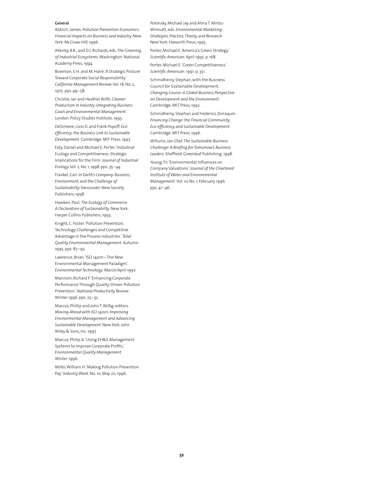# **General**

Aldrich, James. *Pollution Prevention Economics: Financial Impacts on Business and Industry.* New York: McGraw-Hill, 1996.

Allenby, B.R., and D.J. Richards, eds. *The Greening of Industrial Ecosystems.*Washington: National Academy Press, 1994.

Bowman, E.H. and M. Haire.'A Strategic Posture Toward Corporate Social Responsibility.' *California Management Review.*Vol. 18, No. 2, 1975. pps. 49–58.

Christie, Ian and Heather Rolfe. *Cleaner Production in Industry: Integrating Business Goals and Environmental Management.* London: Policy Studies Institute, 1995.

DeSimone, Livio D. and Frank Popoff. *Ecoefficiency: the Business Link to Sustainable Development.* Cambridge: MIT Press, 1997.

Esty, Daniel and Michael E. Porter.'Industrial Ecology and Competitiveness: Strategic Implications for the Firm.'*Journal of Industrial Ecology.* Vol. 2, No. 1, 1998. pps. 35–44.

Frankel, Carl. *In Earth's Company: Business, Environment, and the Challenge of Sustainability.* Vancouver: New Society Publishers, 1998.

Hawken, Paul. *The Ecology of Commerce: A Declaration of Sustainability.* New York: Harper Collins Publishers, 1993.

Knight, C. Foster.'Pollution Prevention, Technology Challenges and Competitive Advantage in the Process Industries.'*Total Quality Environmental Management.* Autumn 1995. pps. 87–92.

Lawrence, Brian.'ISO 14001—The New Environmental Management Paradigm.' *Environmental Technology*. March/April 1997.

Mannion, Richard F.'Enhancing Corporate Performance Through Quality-Driven Pollution Prevention.'*National Productivity Review*. Winter 1996. pps. 25–32.

Marcus, Phillip and John T.Willig, editors. *Moving Ahead with ISO 14001: Improving Environmental Management and Advancing Sustainable Development*. New York: John Wiley & Sons, Inc. 1997.

Marcus, Philip A.'Using EH&S Management Systems to Improve Corporate Profits.' *Environmental Quality Management*. Winter 1996.

Miller,William H.'Making Pollution Prevention Pay.'*Industry Week*. No. 10, May 20, 1996.

Polonsky, Michael Jay and Alma T. Mintu-Wimsatt, eds. *Environmental Marketing: Strategies, Practice,Theory, and Research.* New York: Haworth Press, 1995.

Porter, Michael E.'America's Green Strategy.' *Scientific American*. April 1995. p. 168.

Porter, Michael E.'Green Competitiveness.' *Scientific American.* 1991. p. 351.

Schmidheiny, Stephan, with the Business Council for Sustainable Development. *Changing Course: A Global Business Perspective on Development and the Environment*. Cambridge: MIT Press, 1992.

Schmidheiny, Stephan and Frederico Zorraquin. *Financing Change: the Financial Community, Eco-efficiency, and Sustainable Development.* Cambridge: MIT Press, 1996.

Willums, Jan-Olaf. *The Sustainable Business Challenge: A Briefing for Tomorrow's Business Leaders.* Sheffield: Greenleaf Publishing, 1998.

Young, P.J.'Environmental Influences on Company Valuations.'*Journal of the Chartered Institute of Water and Environmental Management.* Vol. 10, No. 1, February 1996. pps. 41–46.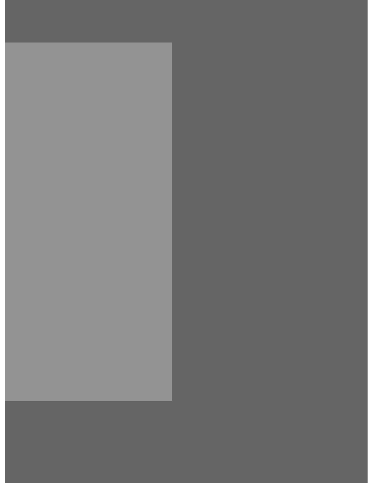